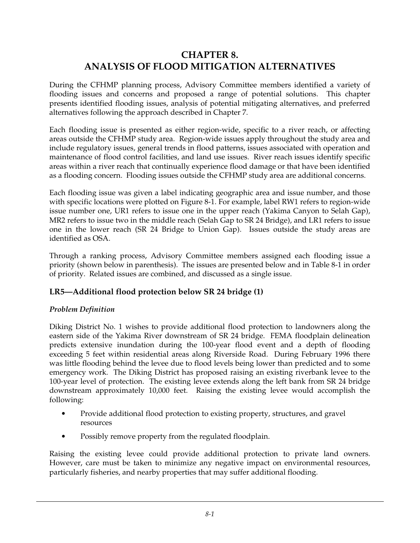# **CHAPTER 8. ANALYSIS OF FLOOD MITIGATION ALTERNATIVES**

During the CFHMP planning process, Advisory Committee members identified a variety of flooding issues and concerns and proposed a range of potential solutions. This chapter presents identified flooding issues, analysis of potential mitigating alternatives, and preferred alternatives following the approach described in Chapter 7.

Each flooding issue is presented as either region-wide, specific to a river reach, or affecting areas outside the CFHMP study area. Region-wide issues apply throughout the study area and include regulatory issues, general trends in flood patterns, issues associated with operation and maintenance of flood control facilities, and land use issues. River reach issues identify specific areas within a river reach that continually experience flood damage or that have been identified as a flooding concern. Flooding issues outside the CFHMP study area are additional concerns.

Each flooding issue was given a label indicating geographic area and issue number, and those with specific locations were plotted on Figure 8-1. For example, label RW1 refers to region-wide issue number one, UR1 refers to issue one in the upper reach (Yakima Canyon to Selah Gap), MR2 refers to issue two in the middle reach (Selah Gap to SR 24 Bridge), and LR1 refers to issue one in the lower reach (SR 24 Bridge to Union Gap). Issues outside the study areas are identified as OSA.

Through a ranking process, Advisory Committee members assigned each flooding issue a priority (shown below in parenthesis). The issues are presented below and in Table 8-1 in order of priority. Related issues are combined, and discussed as a single issue.

### **LR5—Additional flood protection below SR 24 bridge (1)**

#### *Problem Definition*

Diking District No. 1 wishes to provide additional flood protection to landowners along the eastern side of the Yakima River downstream of SR 24 bridge. FEMA floodplain delineation predicts extensive inundation during the 100-year flood event and a depth of flooding exceeding 5 feet within residential areas along Riverside Road. During February 1996 there was little flooding behind the levee due to flood levels being lower than predicted and to some emergency work. The Diking District has proposed raising an existing riverbank levee to the 100-year level of protection. The existing levee extends along the left bank from SR 24 bridge downstream approximately 10,000 feet. Raising the existing levee would accomplish the following:

- Provide additional flood protection to existing property, structures, and gravel resources
- Possibly remove property from the regulated floodplain.

Raising the existing levee could provide additional protection to private land owners. However, care must be taken to minimize any negative impact on environmental resources, particularly fisheries, and nearby properties that may suffer additional flooding.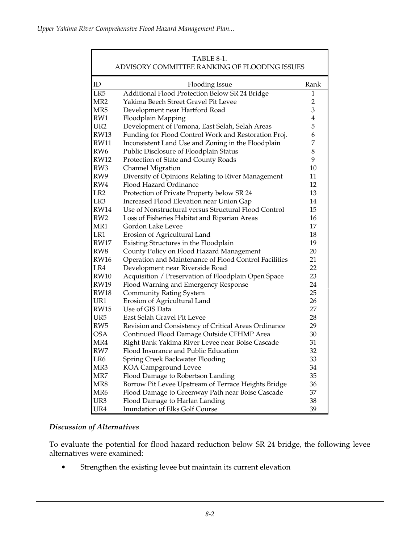| TABLE 8-1.<br>ADVISORY COMMITTEE RANKING OF FLOODING ISSUES |                                                       |                |  |
|-------------------------------------------------------------|-------------------------------------------------------|----------------|--|
| ID                                                          | <b>Flooding Issue</b>                                 | Rank           |  |
| LR5                                                         | Additional Flood Protection Below SR 24 Bridge        | 1              |  |
| MR <sub>2</sub>                                             | Yakima Beech Street Gravel Pit Levee                  | $\overline{2}$ |  |
| MR5                                                         | Development near Hartford Road                        | 3              |  |
| RW1                                                         | Floodplain Mapping                                    | 4              |  |
| UR <sub>2</sub>                                             | Development of Pomona, East Selah, Selah Areas        | 5              |  |
| <b>RW13</b>                                                 | Funding for Flood Control Work and Restoration Proj.  | 6              |  |
| <b>RW11</b>                                                 | Inconsistent Land Use and Zoning in the Floodplain    | 7              |  |
| RW <sub>6</sub>                                             | Public Disclosure of Floodplain Status                | 8              |  |
| <b>RW12</b>                                                 | Protection of State and County Roads                  | 9              |  |
| RW3                                                         | <b>Channel Migration</b>                              | 10             |  |
| RW9                                                         | Diversity of Opinions Relating to River Management    | 11             |  |
| RW4                                                         | Flood Hazard Ordinance                                | 12             |  |
| LR <sub>2</sub>                                             | Protection of Private Property below SR 24            | 13             |  |
| LR <sub>3</sub>                                             | Increased Flood Elevation near Union Gap              | 14             |  |
| <b>RW14</b>                                                 | Use of Nonstructural versus Structural Flood Control  | 15             |  |
| RW <sub>2</sub>                                             | Loss of Fisheries Habitat and Riparian Areas          | 16             |  |
| MR1                                                         | Gordon Lake Levee                                     | 17             |  |
| LR1                                                         | Erosion of Agricultural Land                          | 18             |  |
| <b>RW17</b>                                                 | Existing Structures in the Floodplain                 | 19             |  |
| RW <sub>8</sub>                                             | County Policy on Flood Hazard Management              | 20             |  |
| <b>RW16</b>                                                 | Operation and Maintenance of Flood Control Facilities | 21             |  |
| LR4                                                         | Development near Riverside Road                       | 22             |  |
| <b>RW10</b>                                                 | Acquisition / Preservation of Floodplain Open Space   | 23             |  |
| <b>RW19</b>                                                 | Flood Warning and Emergency Response                  | 24             |  |
| <b>RW18</b>                                                 | <b>Community Rating System</b>                        | 25             |  |
| UR1                                                         | Erosion of Agricultural Land                          | 26             |  |
| <b>RW15</b>                                                 | Use of GIS Data                                       | 27             |  |
| UR5                                                         | East Selah Gravel Pit Levee                           | 28             |  |
| RW <sub>5</sub>                                             | Revision and Consistency of Critical Areas Ordinance  | 29             |  |
| <b>OSA</b>                                                  | Continued Flood Damage Outside CFHMP Area             | 30             |  |
| MR4                                                         | Right Bank Yakima River Levee near Boise Cascade      | 31             |  |
| RW7                                                         | Flood Insurance and Public Education                  | 32             |  |
| LR6                                                         | Spring Creek Backwater Flooding                       | 33             |  |
| MR3                                                         | KOA Campground Levee                                  | 34             |  |
| MR7                                                         | Flood Damage to Robertson Landing                     | 35             |  |
| MR8                                                         | Borrow Pit Levee Upstream of Terrace Heights Bridge   | 36             |  |
| MR <sub>6</sub>                                             | Flood Damage to Greenway Path near Boise Cascade      | 37             |  |
| UR3                                                         | Flood Damage to Harlan Landing                        | 38             |  |
| UR4                                                         | Inundation of Elks Golf Course                        | 39             |  |

#### *Discussion of Alternatives*

To evaluate the potential for flood hazard reduction below SR 24 bridge, the following levee alternatives were examined:

• Strengthen the existing levee but maintain its current elevation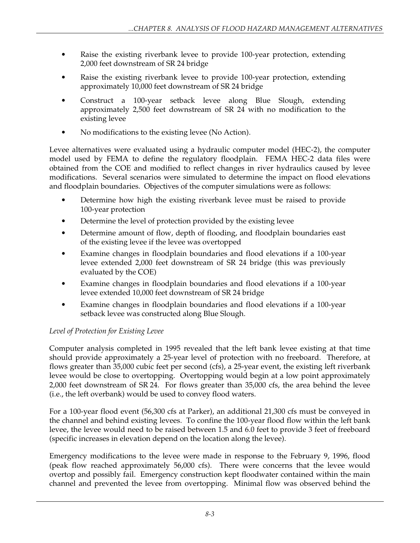- Raise the existing riverbank levee to provide 100-year protection, extending 2,000 feet downstream of SR 24 bridge
- Raise the existing riverbank levee to provide 100-year protection, extending approximately 10,000 feet downstream of SR 24 bridge
- Construct a 100-year setback levee along Blue Slough, extending approximately 2,500 feet downstream of SR 24 with no modification to the existing levee
- No modifications to the existing levee (No Action).

Levee alternatives were evaluated using a hydraulic computer model (HEC-2), the computer model used by FEMA to define the regulatory floodplain. FEMA HEC-2 data files were obtained from the COE and modified to reflect changes in river hydraulics caused by levee modifications. Several scenarios were simulated to determine the impact on flood elevations and floodplain boundaries. Objectives of the computer simulations were as follows:

- Determine how high the existing riverbank levee must be raised to provide 100-year protection
- Determine the level of protection provided by the existing levee
- Determine amount of flow, depth of flooding, and floodplain boundaries east of the existing levee if the levee was overtopped
- Examine changes in floodplain boundaries and flood elevations if a 100-year levee extended 2,000 feet downstream of SR 24 bridge (this was previously evaluated by the COE)
- Examine changes in floodplain boundaries and flood elevations if a 100-year levee extended 10,000 feet downstream of SR 24 bridge
- Examine changes in floodplain boundaries and flood elevations if a 100-year setback levee was constructed along Blue Slough.

## *Level of Protection for Existing Levee*

Computer analysis completed in 1995 revealed that the left bank levee existing at that time should provide approximately a 25-year level of protection with no freeboard. Therefore, at flows greater than 35,000 cubic feet per second (cfs), a 25-year event, the existing left riverbank levee would be close to overtopping. Overtopping would begin at a low point approximately 2,000 feet downstream of SR 24. For flows greater than 35,000 cfs, the area behind the levee (i.e., the left overbank) would be used to convey flood waters.

For a 100-year flood event (56,300 cfs at Parker), an additional 21,300 cfs must be conveyed in the channel and behind existing levees. To confine the 100-year flood flow within the left bank levee, the levee would need to be raised between 1.5 and 6.0 feet to provide 3 feet of freeboard (specific increases in elevation depend on the location along the levee).

Emergency modifications to the levee were made in response to the February 9, 1996, flood (peak flow reached approximately 56,000 cfs). There were concerns that the levee would overtop and possibly fail. Emergency construction kept floodwater contained within the main channel and prevented the levee from overtopping. Minimal flow was observed behind the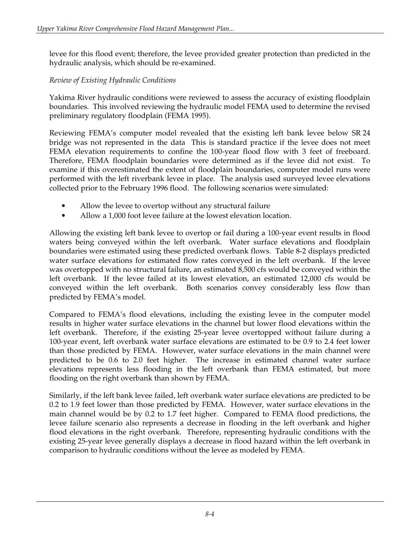levee for this flood event; therefore, the levee provided greater protection than predicted in the hydraulic analysis, which should be re-examined.

#### *Review of Existing Hydraulic Conditions*

Yakima River hydraulic conditions were reviewed to assess the accuracy of existing floodplain boundaries. This involved reviewing the hydraulic model FEMA used to determine the revised preliminary regulatory floodplain (FEMA 1995).

Reviewing FEMA's computer model revealed that the existing left bank levee below SR 24 bridge was not represented in the data This is standard practice if the levee does not meet FEMA elevation requirements to confine the 100-year flood flow with 3 feet of freeboard. Therefore, FEMA floodplain boundaries were determined as if the levee did not exist. To examine if this overestimated the extent of floodplain boundaries, computer model runs were performed with the left riverbank levee in place. The analysis used surveyed levee elevations collected prior to the February 1996 flood. The following scenarios were simulated:

- Allow the levee to overtop without any structural failure
- Allow a 1,000 foot levee failure at the lowest elevation location.

Allowing the existing left bank levee to overtop or fail during a 100-year event results in flood waters being conveyed within the left overbank. Water surface elevations and floodplain boundaries were estimated using these predicted overbank flows. Table 8-2 displays predicted water surface elevations for estimated flow rates conveyed in the left overbank. If the levee was overtopped with no structural failure, an estimated 8,500 cfs would be conveyed within the left overbank. If the levee failed at its lowest elevation, an estimated 12,000 cfs would be conveyed within the left overbank. Both scenarios convey considerably less flow than predicted by FEMA's model.

Compared to FEMA's flood elevations, including the existing levee in the computer model results in higher water surface elevations in the channel but lower flood elevations within the left overbank. Therefore, if the existing 25-year levee overtopped without failure during a 100-year event, left overbank water surface elevations are estimated to be 0.9 to 2.4 feet lower than those predicted by FEMA. However, water surface elevations in the main channel were predicted to be 0.6 to 2.0 feet higher. The increase in estimated channel water surface elevations represents less flooding in the left overbank than FEMA estimated, but more flooding on the right overbank than shown by FEMA.

Similarly, if the left bank levee failed, left overbank water surface elevations are predicted to be 0.2 to 1.9 feet lower than those predicted by FEMA. However, water surface elevations in the main channel would be by 0.2 to 1.7 feet higher. Compared to FEMA flood predictions, the levee failure scenario also represents a decrease in flooding in the left overbank and higher flood elevations in the right overbank. Therefore, representing hydraulic conditions with the existing 25-year levee generally displays a decrease in flood hazard within the left overbank in comparison to hydraulic conditions without the levee as modeled by FEMA.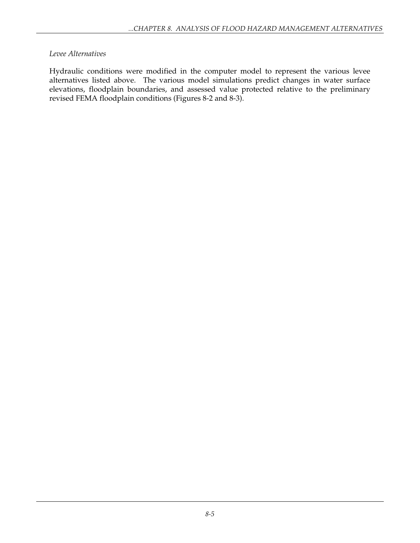#### *Levee Alternatives*

Hydraulic conditions were modified in the computer model to represent the various levee alternatives listed above. The various model simulations predict changes in water surface elevations, floodplain boundaries, and assessed value protected relative to the preliminary revised FEMA floodplain conditions (Figures 8-2 and 8-3).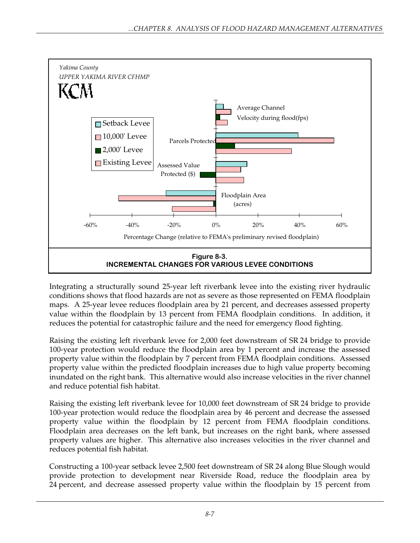

Integrating a structurally sound 25-year left riverbank levee into the existing river hydraulic conditions shows that flood hazards are not as severe as those represented on FEMA floodplain maps. A 25-year levee reduces floodplain area by 21 percent, and decreases assessed property value within the floodplain by 13 percent from FEMA floodplain conditions. In addition, it reduces the potential for catastrophic failure and the need for emergency flood fighting.

Raising the existing left riverbank levee for 2,000 feet downstream of SR 24 bridge to provide 100-year protection would reduce the floodplain area by 1 percent and increase the assessed property value within the floodplain by 7 percent from FEMA floodplain conditions. Assessed property value within the predicted floodplain increases due to high value property becoming inundated on the right bank. This alternative would also increase velocities in the river channel and reduce potential fish habitat.

Raising the existing left riverbank levee for 10,000 feet downstream of SR 24 bridge to provide 100-year protection would reduce the floodplain area by 46 percent and decrease the assessed property value within the floodplain by 12 percent from FEMA floodplain conditions. Floodplain area decreases on the left bank, but increases on the right bank, where assessed property values are higher. This alternative also increases velocities in the river channel and reduces potential fish habitat.

Constructing a 100-year setback levee 2,500 feet downstream of SR 24 along Blue Slough would provide protection to development near Riverside Road, reduce the floodplain area by 24 percent, and decrease assessed property value within the floodplain by 15 percent from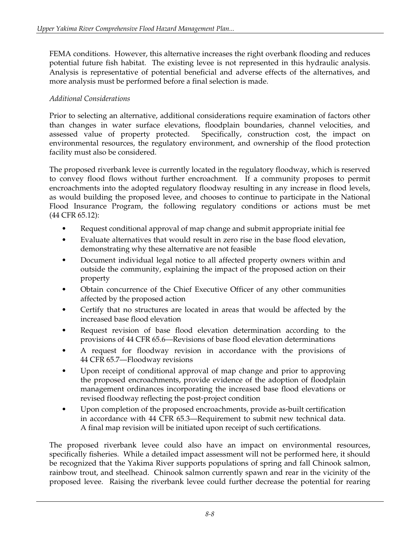FEMA conditions. However, this alternative increases the right overbank flooding and reduces potential future fish habitat. The existing levee is not represented in this hydraulic analysis. Analysis is representative of potential beneficial and adverse effects of the alternatives, and more analysis must be performed before a final selection is made.

#### *Additional Considerations*

Prior to selecting an alternative, additional considerations require examination of factors other than changes in water surface elevations, floodplain boundaries, channel velocities, and assessed value of property protected. Specifically, construction cost, the impact on environmental resources, the regulatory environment, and ownership of the flood protection facility must also be considered.

The proposed riverbank levee is currently located in the regulatory floodway, which is reserved to convey flood flows without further encroachment. If a community proposes to permit encroachments into the adopted regulatory floodway resulting in any increase in flood levels, as would building the proposed levee, and chooses to continue to participate in the National Flood Insurance Program, the following regulatory conditions or actions must be met (44 CFR 65.12):

- Request conditional approval of map change and submit appropriate initial fee
- Evaluate alternatives that would result in zero rise in the base flood elevation, demonstrating why these alternative are not feasible
- Document individual legal notice to all affected property owners within and outside the community, explaining the impact of the proposed action on their property
- Obtain concurrence of the Chief Executive Officer of any other communities affected by the proposed action
- Certify that no structures are located in areas that would be affected by the increased base flood elevation
- Request revision of base flood elevation determination according to the provisions of 44 CFR 65.6—Revisions of base flood elevation determinations
- A request for floodway revision in accordance with the provisions of 44 CFR 65.7—Floodway revisions
- Upon receipt of conditional approval of map change and prior to approving the proposed encroachments, provide evidence of the adoption of floodplain management ordinances incorporating the increased base flood elevations or revised floodway reflecting the post-project condition
- Upon completion of the proposed encroachments, provide as-built certification in accordance with 44 CFR 65.3—Requirement to submit new technical data. A final map revision will be initiated upon receipt of such certifications.

The proposed riverbank levee could also have an impact on environmental resources, specifically fisheries. While a detailed impact assessment will not be performed here, it should be recognized that the Yakima River supports populations of spring and fall Chinook salmon, rainbow trout, and steelhead. Chinook salmon currently spawn and rear in the vicinity of the proposed levee. Raising the riverbank levee could further decrease the potential for rearing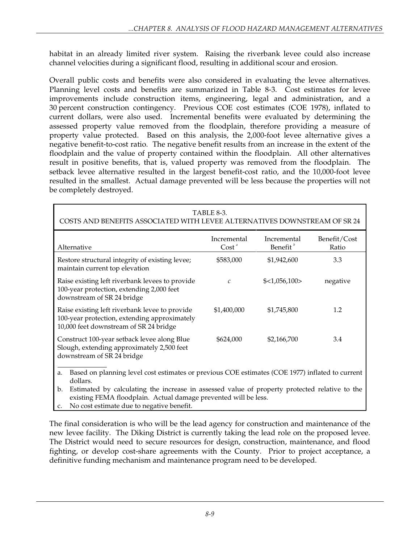habitat in an already limited river system. Raising the riverbank levee could also increase channel velocities during a significant flood, resulting in additional scour and erosion.

Overall public costs and benefits were also considered in evaluating the levee alternatives. Planning level costs and benefits are summarized in Table 8-3. Cost estimates for levee improvements include construction items, engineering, legal and administration, and a 30 percent construction contingency. Previous COE cost estimates (COE 1978), inflated to current dollars, were also used. Incremental benefits were evaluated by determining the assessed property value removed from the floodplain, therefore providing a measure of property value protected. Based on this analysis, the 2,000-foot levee alternative gives a negative benefit-to-cost ratio. The negative benefit results from an increase in the extent of the floodplain and the value of property contained within the floodplain. All other alternatives result in positive benefits, that is, valued property was removed from the floodplain. The setback levee alternative resulted in the largest benefit-cost ratio, and the 10,000-foot levee resulted in the smallest. Actual damage prevented will be less because the properties will not be completely destroyed.

| TABLE 8-3.<br>COSTS AND BENEFITS ASSOCIATED WITH LEVEE ALTERNATIVES DOWNSTREAM OF SR 24                                                                                                                           |                                  |                                     |                       |  |
|-------------------------------------------------------------------------------------------------------------------------------------------------------------------------------------------------------------------|----------------------------------|-------------------------------------|-----------------------|--|
| Alternative                                                                                                                                                                                                       | Incremental<br>Cost <sup>a</sup> | Incremental<br>Benefit <sup>b</sup> | Benefit/Cost<br>Ratio |  |
| Restore structural integrity of existing levee;<br>maintain current top elevation                                                                                                                                 | \$583,000                        | \$1,942,600                         | 3.3                   |  |
| Raise existing left riverbank levees to provide<br>100-year protection, extending 2,000 feet<br>downstream of SR 24 bridge                                                                                        | C                                | \$<1,056,100>                       | negative              |  |
| Raise existing left riverbank levee to provide<br>100-year protection, extending approximately<br>10,000 feet downstream of SR 24 bridge                                                                          | \$1,400,000                      | \$1,745,800                         | 1.2                   |  |
| Construct 100-year setback levee along Blue<br>Slough, extending approximately 2,500 feet<br>downstream of SR 24 bridge                                                                                           | \$624,000                        | \$2,166,700                         | 3.4                   |  |
| Based on planning level cost estimates or previous COE estimates (COE 1977) inflated to current<br>a.<br>dollars.                                                                                                 |                                  |                                     |                       |  |
| Estimated by calculating the increase in assessed value of property protected relative to the<br>b.<br>existing FEMA floodplain. Actual damage prevented will be less.<br>No soot octimate due to possive hopefit |                                  |                                     |                       |  |

c. No cost estimate due to negative benefit.

The final consideration is who will be the lead agency for construction and maintenance of the new levee facility. The Diking District is currently taking the lead role on the proposed levee. The District would need to secure resources for design, construction, maintenance, and flood fighting, or develop cost-share agreements with the County. Prior to project acceptance, a definitive funding mechanism and maintenance program need to be developed.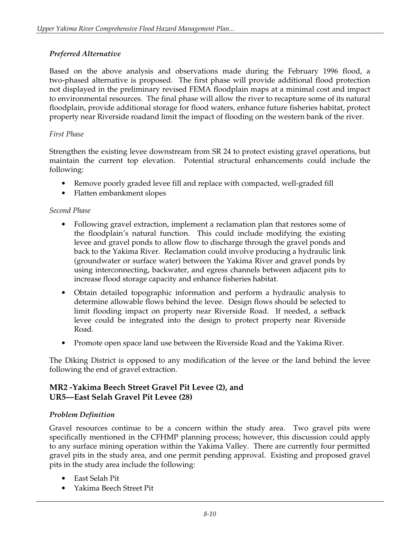### *Preferred Alternative*

Based on the above analysis and observations made during the February 1996 flood, a two-phased alternative is proposed. The first phase will provide additional flood protection not displayed in the preliminary revised FEMA floodplain maps at a minimal cost and impact to environmental resources. The final phase will allow the river to recapture some of its natural floodplain, provide additional storage for flood waters, enhance future fisheries habitat, protect property near Riverside roadand limit the impact of flooding on the western bank of the river.

#### *First Phase*

Strengthen the existing levee downstream from SR 24 to protect existing gravel operations, but maintain the current top elevation. Potential structural enhancements could include the following:

- Remove poorly graded levee fill and replace with compacted, well-graded fill
- Flatten embankment slopes

#### *Second Phase*

- Following gravel extraction, implement a reclamation plan that restores some of the floodplain's natural function. This could include modifying the existing levee and gravel ponds to allow flow to discharge through the gravel ponds and back to the Yakima River. Reclamation could involve producing a hydraulic link (groundwater or surface water) between the Yakima River and gravel ponds by using interconnecting, backwater, and egress channels between adjacent pits to increase flood storage capacity and enhance fisheries habitat.
- Obtain detailed topographic information and perform a hydraulic analysis to determine allowable flows behind the levee. Design flows should be selected to limit flooding impact on property near Riverside Road. If needed, a setback levee could be integrated into the design to protect property near Riverside Road.
- Promote open space land use between the Riverside Road and the Yakima River.

The Diking District is opposed to any modification of the levee or the land behind the levee following the end of gravel extraction.

#### **MR2 -Yakima Beech Street Gravel Pit Levee (2), and UR5—East Selah Gravel Pit Levee (28)**

#### *Problem Definition*

Gravel resources continue to be a concern within the study area. Two gravel pits were specifically mentioned in the CFHMP planning process; however, this discussion could apply to any surface mining operation within the Yakima Valley. There are currently four permitted gravel pits in the study area, and one permit pending approval. Existing and proposed gravel pits in the study area include the following:

- East Selah Pit
- Yakima Beech Street Pit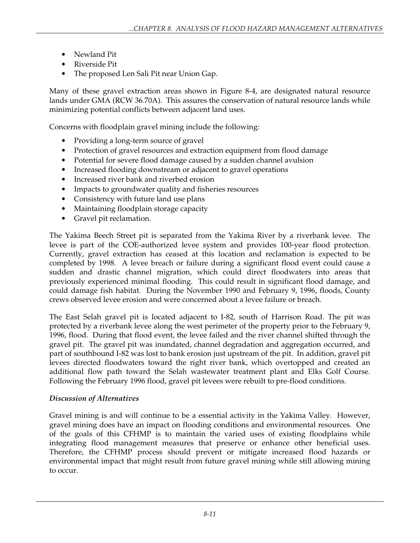- Newland Pit
- Riverside Pit
- The proposed Len Sali Pit near Union Gap.

Many of these gravel extraction areas shown in Figure 8-4, are designated natural resource lands under GMA (RCW 36.70A). This assures the conservation of natural resource lands while minimizing potential conflicts between adjacent land uses.

Concerns with floodplain gravel mining include the following:

- Providing a long-term source of gravel
- Protection of gravel resources and extraction equipment from flood damage
- Potential for severe flood damage caused by a sudden channel avulsion
- Increased flooding downstream or adjacent to gravel operations
- Increased river bank and riverbed erosion
- Impacts to groundwater quality and fisheries resources
- Consistency with future land use plans
- Maintaining floodplain storage capacity
- Gravel pit reclamation.

The Yakima Beech Street pit is separated from the Yakima River by a riverbank levee. The levee is part of the COE-authorized levee system and provides 100-year flood protection. Currently, gravel extraction has ceased at this location and reclamation is expected to be completed by 1998. A levee breach or failure during a significant flood event could cause a sudden and drastic channel migration, which could direct floodwaters into areas that previously experienced minimal flooding. This could result in significant flood damage, and could damage fish habitat. During the November 1990 and February 9, 1996, floods, County crews observed levee erosion and were concerned about a levee failure or breach.

The East Selah gravel pit is located adjacent to I-82, south of Harrison Road. The pit was protected by a riverbank levee along the west perimeter of the property prior to the February 9, 1996, flood. During that flood event, the levee failed and the river channel shifted through the gravel pit. The gravel pit was inundated, channel degradation and aggregation occurred, and part of southbound I-82 was lost to bank erosion just upstream of the pit. In addition, gravel pit levees directed floodwaters toward the right river bank, which overtopped and created an additional flow path toward the Selah wastewater treatment plant and Elks Golf Course. Following the February 1996 flood, gravel pit levees were rebuilt to pre-flood conditions.

#### *Discussion of Alternatives*

Gravel mining is and will continue to be a essential activity in the Yakima Valley. However, gravel mining does have an impact on flooding conditions and environmental resources. One of the goals of this CFHMP is to maintain the varied uses of existing floodplains while integrating flood management measures that preserve or enhance other beneficial uses. Therefore, the CFHMP process should prevent or mitigate increased flood hazards or environmental impact that might result from future gravel mining while still allowing mining to occur.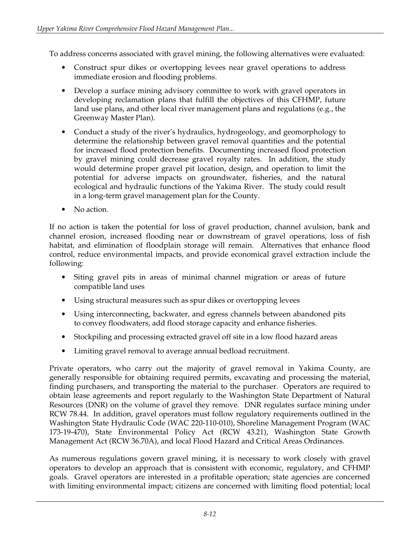To address concerns associated with gravel mining, the following alternatives were evaluated:

- Construct spur dikes or overtopping levees near gravel operations to address immediate erosion and flooding problems.
- Develop a surface mining advisory committee to work with gravel operators in developing reclamation plans that fulfill the objectives of this CFHMP, future land use plans, and other local river management plans and regulations (e.g., the Greenway Master Plan).
- Conduct a study of the river's hydraulics, hydrogeology, and geomorphology to determine the relationship between gravel removal quantities and the potential for increased flood protection benefits. Documenting increased flood protection by gravel mining could decrease gravel royalty rates. In addition, the study would determine proper gravel pit location, design, and operation to limit the potential for adverse impacts on groundwater, fisheries, and the natural ecological and hydraulic functions of the Yakima River. The study could result in a long-term gravel management plan for the County.
- No action.

If no action is taken the potential for loss of gravel production, channel avulsion, bank and channel erosion, increased flooding near or downstream of gravel operations, loss of fish habitat, and elimination of floodplain storage will remain. Alternatives that enhance flood control, reduce environmental impacts, and provide economical gravel extraction include the following:

- Siting gravel pits in areas of minimal channel migration or areas of future compatible land uses
- Using structural measures such as spur dikes or overtopping levees
- Using interconnecting, backwater, and egress channels between abandoned pits to convey floodwaters, add flood storage capacity and enhance fisheries.
- Stockpiling and processing extracted gravel off site in a low flood hazard areas
- Limiting gravel removal to average annual bedload recruitment.

Private operators, who carry out the majority of gravel removal in Yakima County, are generally responsible for obtaining required permits, excavating and processing the material, finding purchasers, and transporting the material to the purchaser. Operators are required to obtain lease agreements and report regularly to the Washington State Department of Natural Resources (DNR) on the volume of gravel they remove. DNR regulates surface mining under RCW 78.44. In addition, gravel operators must follow regulatory requirements outlined in the Washington State Hydraulic Code (WAC 220-110-010), Shoreline Management Program (WAC 173-19-470), State Environmental Policy Act (RCW 43.21), Washington State Growth Management Act (RCW 36.70A), and local Flood Hazard and Critical Areas Ordinances.

As numerous regulations govern gravel mining, it is necessary to work closely with gravel operators to develop an approach that is consistent with economic, regulatory, and CFHMP goals. Gravel operators are interested in a profitable operation; state agencies are concerned with limiting environmental impact; citizens are concerned with limiting flood potential; local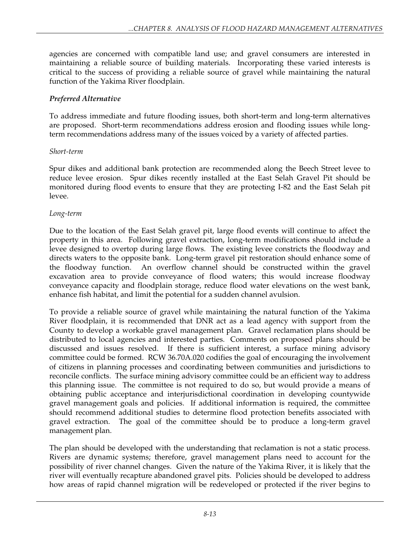agencies are concerned with compatible land use; and gravel consumers are interested in maintaining a reliable source of building materials. Incorporating these varied interests is critical to the success of providing a reliable source of gravel while maintaining the natural function of the Yakima River floodplain.

#### *Preferred Alternative*

To address immediate and future flooding issues, both short-term and long-term alternatives are proposed. Short-term recommendations address erosion and flooding issues while longterm recommendations address many of the issues voiced by a variety of affected parties.

#### *Short-term*

Spur dikes and additional bank protection are recommended along the Beech Street levee to reduce levee erosion. Spur dikes recently installed at the East Selah Gravel Pit should be monitored during flood events to ensure that they are protecting I-82 and the East Selah pit levee.

#### *Long-term*

Due to the location of the East Selah gravel pit, large flood events will continue to affect the property in this area. Following gravel extraction, long-term modifications should include a levee designed to overtop during large flows. The existing levee constricts the floodway and directs waters to the opposite bank. Long-term gravel pit restoration should enhance some of the floodway function. An overflow channel should be constructed within the gravel excavation area to provide conveyance of flood waters; this would increase floodway conveyance capacity and floodplain storage, reduce flood water elevations on the west bank, enhance fish habitat, and limit the potential for a sudden channel avulsion.

To provide a reliable source of gravel while maintaining the natural function of the Yakima River floodplain, it is recommended that DNR act as a lead agency with support from the County to develop a workable gravel management plan. Gravel reclamation plans should be distributed to local agencies and interested parties. Comments on proposed plans should be discussed and issues resolved. If there is sufficient interest, a surface mining advisory committee could be formed. RCW 36.70A.020 codifies the goal of encouraging the involvement of citizens in planning processes and coordinating between communities and jurisdictions to reconcile conflicts. The surface mining advisory committee could be an efficient way to address this planning issue. The committee is not required to do so, but would provide a means of obtaining public acceptance and interjurisdictional coordination in developing countywide gravel management goals and policies. If additional information is required, the committee should recommend additional studies to determine flood protection benefits associated with gravel extraction. The goal of the committee should be to produce a long-term gravel management plan.

The plan should be developed with the understanding that reclamation is not a static process. Rivers are dynamic systems; therefore, gravel management plans need to account for the possibility of river channel changes. Given the nature of the Yakima River, it is likely that the river will eventually recapture abandoned gravel pits. Policies should be developed to address how areas of rapid channel migration will be redeveloped or protected if the river begins to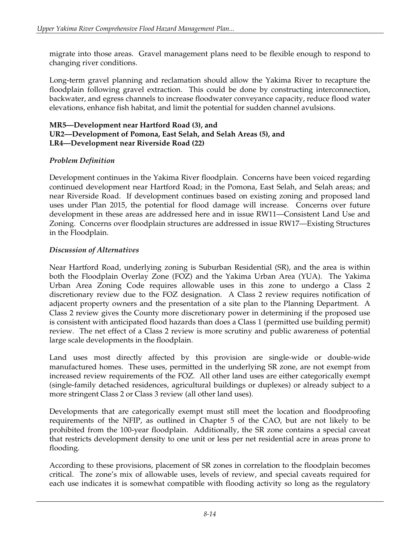migrate into those areas. Gravel management plans need to be flexible enough to respond to changing river conditions.

Long-term gravel planning and reclamation should allow the Yakima River to recapture the floodplain following gravel extraction. This could be done by constructing interconnection, backwater, and egress channels to increase floodwater conveyance capacity, reduce flood water elevations, enhance fish habitat, and limit the potential for sudden channel avulsions.

#### **MR5—Development near Hartford Road (3), and UR2—Development of Pomona, East Selah, and Selah Areas (5), and LR4—Development near Riverside Road (22)**

### *Problem Definition*

Development continues in the Yakima River floodplain. Concerns have been voiced regarding continued development near Hartford Road; in the Pomona, East Selah, and Selah areas; and near Riverside Road. If development continues based on existing zoning and proposed land uses under Plan 2015, the potential for flood damage will increase. Concerns over future development in these areas are addressed here and in issue RW11—Consistent Land Use and Zoning. Concerns over floodplain structures are addressed in issue RW17—Existing Structures in the Floodplain.

#### *Discussion of Alternatives*

Near Hartford Road, underlying zoning is Suburban Residential (SR), and the area is within both the Floodplain Overlay Zone (FOZ) and the Yakima Urban Area (YUA). The Yakima Urban Area Zoning Code requires allowable uses in this zone to undergo a Class 2 discretionary review due to the FOZ designation. A Class 2 review requires notification of adjacent property owners and the presentation of a site plan to the Planning Department. A Class 2 review gives the County more discretionary power in determining if the proposed use is consistent with anticipated flood hazards than does a Class 1 (permitted use building permit) review. The net effect of a Class 2 review is more scrutiny and public awareness of potential large scale developments in the floodplain.

Land uses most directly affected by this provision are single-wide or double-wide manufactured homes. These uses, permitted in the underlying SR zone, are not exempt from increased review requirements of the FOZ. All other land uses are either categorically exempt (single-family detached residences, agricultural buildings or duplexes) or already subject to a more stringent Class 2 or Class 3 review (all other land uses).

Developments that are categorically exempt must still meet the location and floodproofing requirements of the NFIP, as outlined in Chapter 5 of the CAO, but are not likely to be prohibited from the 100-year floodplain. Additionally, the SR zone contains a special caveat that restricts development density to one unit or less per net residential acre in areas prone to flooding.

According to these provisions, placement of SR zones in correlation to the floodplain becomes critical. The zone's mix of allowable uses, levels of review, and special caveats required for each use indicates it is somewhat compatible with flooding activity so long as the regulatory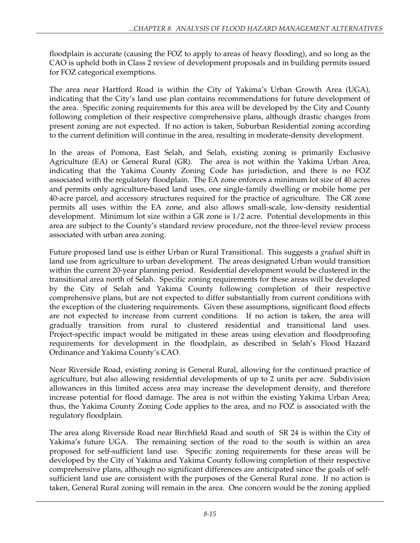floodplain is accurate (causing the FOZ to apply to areas of heavy flooding), and so long as the CAO is upheld both in Class 2 review of development proposals and in building permits issued for FOZ categorical exemptions.

The area near Hartford Road is within the City of Yakima's Urban Growth Area (UGA), indicating that the City's land use plan contains recommendations for future development of the area. Specific zoning requirements for this area will be developed by the City and County following completion of their respective comprehensive plans, although drastic changes from present zoning are not expected. If no action is taken, Suburban Residential zoning according to the current definition will continue in the area, resulting in moderate-density development.

In the areas of Pomona, East Selah, and Selah, existing zoning is primarily Exclusive Agriculture (EA) or General Rural (GR). The area is not within the Yakima Urban Area, indicating that the Yakima County Zoning Code has jurisdiction, and there is no FOZ associated with the regulatory floodplain. The EA zone enforces a minimum lot size of 40 acres and permits only agriculture-based land uses, one single-family dwelling or mobile home per 40-acre parcel, and accessory structures required for the practice of agriculture. The GR zone permits all uses within the EA zone, and also allows small-scale, low-density residential development. Minimum lot size within a GR zone is 1/2 acre. Potential developments in this area are subject to the County's standard review procedure, not the three-level review process associated with urban area zoning.

Future proposed land use is either Urban or Rural Transitional. This suggests a *gradual* shift in land use from agriculture to urban development. The areas designated Urban would transition within the current 20-year planning period. Residential development would be clustered in the transitional area north of Selah. Specific zoning requirements for these areas will be developed by the City of Selah and Yakima County following completion of their respective comprehensive plans, but are not expected to differ substantially from current conditions with the exception of the clustering requirements. Given these assumptions, significant flood effects are not expected to increase from current conditions. If no action is taken, the area will gradually transition from rural to clustered residential and transitional land uses. Project-specific impact would be mitigated in these areas using elevation and floodproofing requirements for development in the floodplain, as described in Selah's Flood Hazard Ordinance and Yakima County's CAO.

Near Riverside Road, existing zoning is General Rural, allowing for the continued practice of agriculture, but also allowing residential developments of up to 2 units per acre. Subdivision allowances in this limited access area may increase the development density, and therefore increase potential for flood damage. The area is not within the existing Yakima Urban Area; thus, the Yakima County Zoning Code applies to the area, and no FOZ is associated with the regulatory floodplain.

The area along Riverside Road near Birchfield Road and south of SR 24 is within the City of Yakima's future UGA. The remaining section of the road to the south is within an area proposed for self-sufficient land use. Specific zoning requirements for these areas will be developed by the City of Yakima and Yakima County following completion of their respective comprehensive plans, although no significant differences are anticipated since the goals of selfsufficient land use are consistent with the purposes of the General Rural zone. If no action is taken, General Rural zoning will remain in the area. One concern would be the zoning applied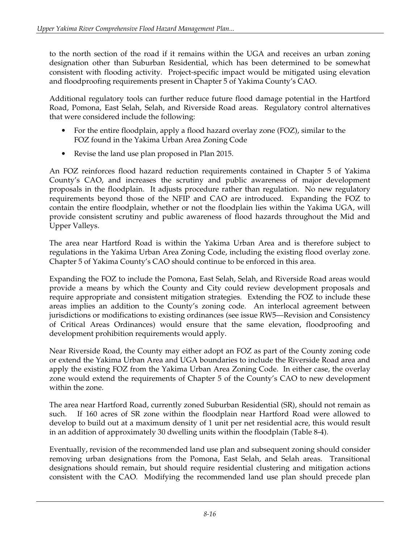to the north section of the road if it remains within the UGA and receives an urban zoning designation other than Suburban Residential, which has been determined to be somewhat consistent with flooding activity. Project-specific impact would be mitigated using elevation and floodproofing requirements present in Chapter 5 of Yakima County's CAO.

Additional regulatory tools can further reduce future flood damage potential in the Hartford Road, Pomona, East Selah, Selah, and Riverside Road areas. Regulatory control alternatives that were considered include the following:

- For the entire floodplain, apply a flood hazard overlay zone (FOZ), similar to the FOZ found in the Yakima Urban Area Zoning Code
- Revise the land use plan proposed in Plan 2015.

An FOZ reinforces flood hazard reduction requirements contained in Chapter 5 of Yakima County's CAO, and increases the scrutiny and public awareness of major development proposals in the floodplain. It adjusts procedure rather than regulation. No new regulatory requirements beyond those of the NFIP and CAO are introduced. Expanding the FOZ to contain the entire floodplain, whether or not the floodplain lies within the Yakima UGA, will provide consistent scrutiny and public awareness of flood hazards throughout the Mid and Upper Valleys.

The area near Hartford Road is within the Yakima Urban Area and is therefore subject to regulations in the Yakima Urban Area Zoning Code, including the existing flood overlay zone. Chapter 5 of Yakima County's CAO should continue to be enforced in this area.

Expanding the FOZ to include the Pomona, East Selah, Selah, and Riverside Road areas would provide a means by which the County and City could review development proposals and require appropriate and consistent mitigation strategies. Extending the FOZ to include these areas implies an addition to the County's zoning code. An interlocal agreement between jurisdictions or modifications to existing ordinances (see issue RW5—Revision and Consistency of Critical Areas Ordinances) would ensure that the same elevation, floodproofing and development prohibition requirements would apply.

Near Riverside Road, the County may either adopt an FOZ as part of the County zoning code or extend the Yakima Urban Area and UGA boundaries to include the Riverside Road area and apply the existing FOZ from the Yakima Urban Area Zoning Code. In either case, the overlay zone would extend the requirements of Chapter 5 of the County's CAO to new development within the zone.

The area near Hartford Road, currently zoned Suburban Residential (SR), should not remain as such. If 160 acres of SR zone within the floodplain near Hartford Road were allowed to develop to build out at a maximum density of 1 unit per net residential acre, this would result in an addition of approximately 30 dwelling units within the floodplain (Table 8-4).

Eventually, revision of the recommended land use plan and subsequent zoning should consider removing urban designations from the Pomona, East Selah, and Selah areas. Transitional designations should remain, but should require residential clustering and mitigation actions consistent with the CAO. Modifying the recommended land use plan should precede plan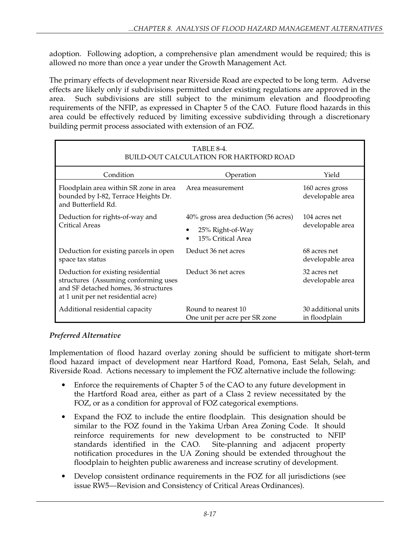adoption. Following adoption, a comprehensive plan amendment would be required; this is allowed no more than once a year under the Growth Management Act.

The primary effects of development near Riverside Road are expected to be long term. Adverse effects are likely only if subdivisions permitted under existing regulations are approved in the area. Such subdivisions are still subject to the minimum elevation and floodproofing requirements of the NFIP, as expressed in Chapter 5 of the CAO. Future flood hazards in this area could be effectively reduced by limiting excessive subdividing through a discretionary building permit process associated with extension of an FOZ.

| TABLE 8-4.<br><b>BUILD-OUT CALCULATION FOR HARTFORD ROAD</b>                                                                                              |                                                                              |                                      |  |  |
|-----------------------------------------------------------------------------------------------------------------------------------------------------------|------------------------------------------------------------------------------|--------------------------------------|--|--|
| Condition                                                                                                                                                 | Operation                                                                    | Yield                                |  |  |
| Floodplain area within SR zone in area<br>bounded by I-82, Terrace Heights Dr.<br>and Butterfield Rd.                                                     | Area measurement                                                             | 160 acres gross<br>developable area  |  |  |
| Deduction for rights-of-way and<br>Critical Areas                                                                                                         | 40% gross area deduction (56 acres)<br>25% Right-of-Way<br>15% Critical Area | 104 acres net<br>developable area    |  |  |
| Deduction for existing parcels in open<br>space tax status                                                                                                | Deduct 36 net acres                                                          | 68 acres net<br>developable area     |  |  |
| Deduction for existing residential<br>structures (Assuming conforming uses<br>and SF detached homes, 36 structures<br>at 1 unit per net residential acre) | Deduct 36 net acres                                                          | 32 acres net<br>developable area     |  |  |
| Additional residential capacity                                                                                                                           | Round to nearest 10<br>One unit per acre per SR zone                         | 30 additional units<br>in floodplain |  |  |

### *Preferred Alternative*

Implementation of flood hazard overlay zoning should be sufficient to mitigate short-term flood hazard impact of development near Hartford Road, Pomona, East Selah, Selah, and Riverside Road. Actions necessary to implement the FOZ alternative include the following:

- Enforce the requirements of Chapter 5 of the CAO to any future development in the Hartford Road area, either as part of a Class 2 review necessitated by the FOZ, or as a condition for approval of FOZ categorical exemptions.
- Expand the FOZ to include the entire floodplain. This designation should be similar to the FOZ found in the Yakima Urban Area Zoning Code. It should reinforce requirements for new development to be constructed to NFIP standards identified in the CAO. Site-planning and adjacent property notification procedures in the UA Zoning should be extended throughout the floodplain to heighten public awareness and increase scrutiny of development.
- Develop consistent ordinance requirements in the FOZ for all jurisdictions (see issue RW5—Revision and Consistency of Critical Areas Ordinances).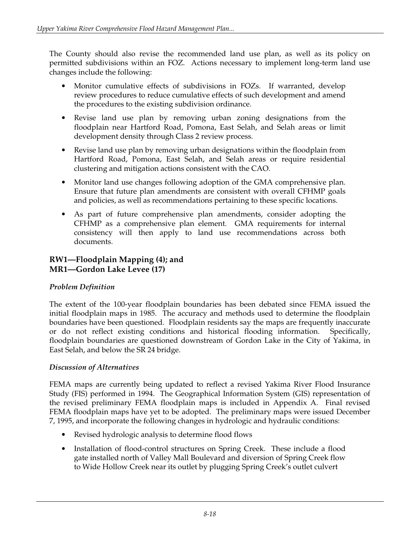The County should also revise the recommended land use plan, as well as its policy on permitted subdivisions within an FOZ. Actions necessary to implement long-term land use changes include the following:

- Monitor cumulative effects of subdivisions in FOZs. If warranted, develop review procedures to reduce cumulative effects of such development and amend the procedures to the existing subdivision ordinance.
- Revise land use plan by removing urban zoning designations from the floodplain near Hartford Road, Pomona, East Selah, and Selah areas or limit development density through Class 2 review process.
- Revise land use plan by removing urban designations within the floodplain from Hartford Road, Pomona, East Selah, and Selah areas or require residential clustering and mitigation actions consistent with the CAO.
- Monitor land use changes following adoption of the GMA comprehensive plan. Ensure that future plan amendments are consistent with overall CFHMP goals and policies, as well as recommendations pertaining to these specific locations.
- As part of future comprehensive plan amendments, consider adopting the CFHMP as a comprehensive plan element. GMA requirements for internal consistency will then apply to land use recommendations across both documents.

### **RW1—Floodplain Mapping (4); and MR1—Gordon Lake Levee (17)**

### *Problem Definition*

The extent of the 100-year floodplain boundaries has been debated since FEMA issued the initial floodplain maps in 1985. The accuracy and methods used to determine the floodplain boundaries have been questioned. Floodplain residents say the maps are frequently inaccurate or do not reflect existing conditions and historical flooding information. Specifically, floodplain boundaries are questioned downstream of Gordon Lake in the City of Yakima, in East Selah, and below the SR 24 bridge.

#### *Discussion of Alternatives*

FEMA maps are currently being updated to reflect a revised Yakima River Flood Insurance Study (FIS) performed in 1994. The Geographical Information System (GIS) representation of the revised preliminary FEMA floodplain maps is included in Appendix A. Final revised FEMA floodplain maps have yet to be adopted. The preliminary maps were issued December 7, 1995, and incorporate the following changes in hydrologic and hydraulic conditions:

- Revised hydrologic analysis to determine flood flows
- Installation of flood-control structures on Spring Creek. These include a flood gate installed north of Valley Mall Boulevard and diversion of Spring Creek flow to Wide Hollow Creek near its outlet by plugging Spring Creek's outlet culvert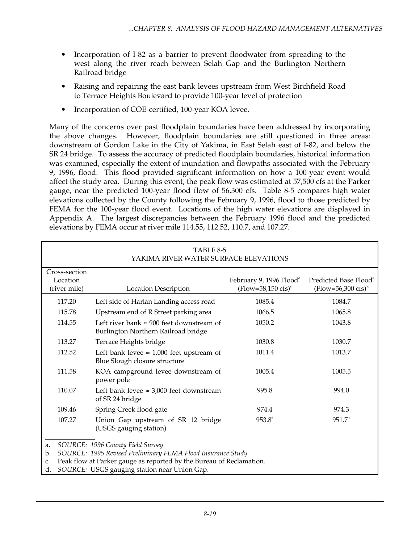- Incorporation of I-82 as a barrier to prevent floodwater from spreading to the west along the river reach between Selah Gap and the Burlington Northern Railroad bridge
- Raising and repairing the east bank levees upstream from West Birchfield Road to Terrace Heights Boulevard to provide 100-year level of protection
- Incorporation of COE-certified, 100-year KOA levee.

Many of the concerns over past floodplain boundaries have been addressed by incorporating the above changes. However, floodplain boundaries are still questioned in three areas: downstream of Gordon Lake in the City of Yakima, in East Selah east of I-82, and below the SR 24 bridge. To assess the accuracy of predicted floodplain boundaries, historical information was examined, especially the extent of inundation and flowpaths associated with the February 9, 1996, flood. This flood provided significant information on how a 100-year event would affect the study area. During this event, the peak flow was estimated at 57,500 cfs at the Parker gauge, near the predicted 100-year flood flow of 56,300 cfs. Table 8-5 compares high water elevations collected by the County following the February 9, 1996, flood to those predicted by FEMA for the 100-year flood event. Locations of the high water elevations are displayed in Appendix A. The largest discrepancies between the February 1996 flood and the predicted elevations by FEMA occur at river mile 114.55, 112.52, 110.7, and 107.27.

| TABLE 8-5<br>YAKIMA RIVER WATER SURFACE ELEVATIONS                                                                                                                                                                                             |                                                                                         |                                                                      |                                                                     |  |
|------------------------------------------------------------------------------------------------------------------------------------------------------------------------------------------------------------------------------------------------|-----------------------------------------------------------------------------------------|----------------------------------------------------------------------|---------------------------------------------------------------------|--|
| Cross-section<br>Location<br>(river mile)                                                                                                                                                                                                      | <b>Location Description</b>                                                             | February 9, 1996 Flood <sup>®</sup><br>$(Flow=58,150 \text{ cfs})^c$ | Predicted Base Flood <sup>®</sup><br>(Flow=56,300 cfs) <sup>c</sup> |  |
| 117.20                                                                                                                                                                                                                                         | Left side of Harlan Landing access road                                                 | 1085.4                                                               | 1084.7                                                              |  |
| 115.78                                                                                                                                                                                                                                         | Upstream end of R Street parking area                                                   | 1066.5                                                               | 1065.8                                                              |  |
| 114.55                                                                                                                                                                                                                                         | Left river bank $\approx 900$ feet downstream of<br>Burlington Northern Railroad bridge | 1050.2                                                               | 1043.8                                                              |  |
| 113.27                                                                                                                                                                                                                                         | Terrace Heights bridge                                                                  | 1030.8                                                               | 1030.7                                                              |  |
| 112.52                                                                                                                                                                                                                                         | Left bank levee $\approx 1,000$ feet upstream of<br>Blue Slough closure structure       | 1011.4                                                               | 1013.7                                                              |  |
| 111.58                                                                                                                                                                                                                                         | KOA campground levee downstream of<br>power pole                                        | 1005.4                                                               | 1005.5                                                              |  |
| 110.07                                                                                                                                                                                                                                         | Left bank levee $\approx 3,000$ feet downstream<br>of SR 24 bridge                      | 995.8                                                                | 994.0                                                               |  |
| 109.46                                                                                                                                                                                                                                         | Spring Creek flood gate                                                                 | 974.4                                                                | 974.3                                                               |  |
| 107.27                                                                                                                                                                                                                                         | Union Gap upstream of SR 12 bridge<br>(USGS gauging station)                            | $953.8^{d}$                                                          | 951.7 <sup>d</sup>                                                  |  |
| SOURCE: 1996 County Field Survey<br>a.<br>SOURCE: 1995 Revised Preliminary FEMA Flood Insurance Study<br>b.<br>Peak flow at Parker gauge as reported by the Bureau of Reclamation.<br>c.<br>SOURCE: USGS gauging station near Union Gap.<br>d. |                                                                                         |                                                                      |                                                                     |  |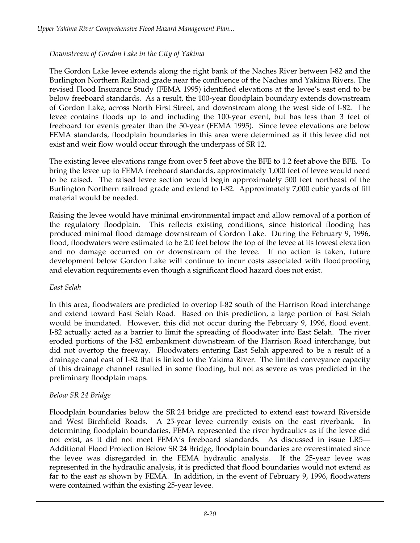### *Downstream of Gordon Lake in the City of Yakima*

The Gordon Lake levee extends along the right bank of the Naches River between I-82 and the Burlington Northern Railroad grade near the confluence of the Naches and Yakima Rivers. The revised Flood Insurance Study (FEMA 1995) identified elevations at the levee's east end to be below freeboard standards. As a result, the 100-year floodplain boundary extends downstream of Gordon Lake, across North First Street, and downstream along the west side of I-82. The levee contains floods up to and including the 100-year event, but has less than 3 feet of freeboard for events greater than the 50-year (FEMA 1995). Since levee elevations are below FEMA standards, floodplain boundaries in this area were determined as if this levee did not exist and weir flow would occur through the underpass of SR 12.

The existing levee elevations range from over 5 feet above the BFE to 1.2 feet above the BFE. To bring the levee up to FEMA freeboard standards, approximately 1,000 feet of levee would need to be raised. The raised levee section would begin approximately 500 feet northeast of the Burlington Northern railroad grade and extend to I-82. Approximately 7,000 cubic yards of fill material would be needed.

Raising the levee would have minimal environmental impact and allow removal of a portion of the regulatory floodplain. This reflects existing conditions, since historical flooding has produced minimal flood damage downstream of Gordon Lake. During the February 9, 1996, flood, floodwaters were estimated to be 2.0 feet below the top of the levee at its lowest elevation and no damage occurred on or downstream of the levee. If no action is taken, future development below Gordon Lake will continue to incur costs associated with floodproofing and elevation requirements even though a significant flood hazard does not exist.

#### *East Selah*

In this area, floodwaters are predicted to overtop I-82 south of the Harrison Road interchange and extend toward East Selah Road. Based on this prediction, a large portion of East Selah would be inundated. However, this did not occur during the February 9, 1996, flood event. I-82 actually acted as a barrier to limit the spreading of floodwater into East Selah. The river eroded portions of the I-82 embankment downstream of the Harrison Road interchange, but did not overtop the freeway. Floodwaters entering East Selah appeared to be a result of a drainage canal east of I-82 that is linked to the Yakima River. The limited conveyance capacity of this drainage channel resulted in some flooding, but not as severe as was predicted in the preliminary floodplain maps.

### *Below SR 24 Bridge*

Floodplain boundaries below the SR 24 bridge are predicted to extend east toward Riverside and West Birchfield Roads. A 25-year levee currently exists on the east riverbank. In determining floodplain boundaries, FEMA represented the river hydraulics as if the levee did not exist, as it did not meet FEMA's freeboard standards. As discussed in issue LR5— Additional Flood Protection Below SR 24 Bridge, floodplain boundaries are overestimated since the levee was disregarded in the FEMA hydraulic analysis. If the 25-year levee was represented in the hydraulic analysis, it is predicted that flood boundaries would not extend as far to the east as shown by FEMA. In addition, in the event of February 9, 1996, floodwaters were contained within the existing 25-year levee.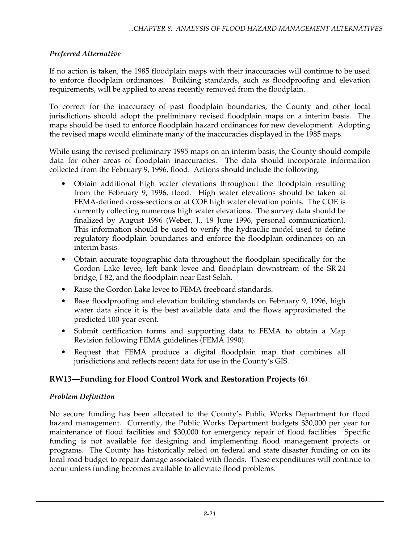### *Preferred Alternative*

If no action is taken, the 1985 floodplain maps with their inaccuracies will continue to be used to enforce floodplain ordinances. Building standards, such as floodproofing and elevation requirements, will be applied to areas recently removed from the floodplain.

To correct for the inaccuracy of past floodplain boundaries, the County and other local jurisdictions should adopt the preliminary revised floodplain maps on a interim basis. The maps should be used to enforce floodplain hazard ordinances for new development. Adopting the revised maps would eliminate many of the inaccuracies displayed in the 1985 maps.

While using the revised preliminary 1995 maps on an interim basis, the County should compile data for other areas of floodplain inaccuracies. The data should incorporate information collected from the February 9, 1996, flood. Actions should include the following:

- Obtain additional high water elevations throughout the floodplain resulting from the February 9, 1996, flood. High water elevations should be taken at FEMA-defined cross-sections or at COE high water elevation points. The COE is currently collecting numerous high water elevations. The survey data should be finalized by August 1996 (Weber, J., 19 June 1996, personal communication). This information should be used to verify the hydraulic model used to define regulatory floodplain boundaries and enforce the floodplain ordinances on an interim basis.
- Obtain accurate topographic data throughout the floodplain specifically for the Gordon Lake levee, left bank levee and floodplain downstream of the SR 24 bridge, I-82, and the floodplain near East Selah.
- Raise the Gordon Lake levee to FEMA freeboard standards.
- Base floodproofing and elevation building standards on February 9, 1996, high water data since it is the best available data and the flows approximated the predicted 100-year event.
- Submit certification forms and supporting data to FEMA to obtain a Map Revision following FEMA guidelines (FEMA 1990).
- Request that FEMA produce a digital floodplain map that combines all jurisdictions and reflects recent data for use in the County's GIS.

## **RW13—Funding for Flood Control Work and Restoration Projects (6)**

### *Problem Definition*

No secure funding has been allocated to the County's Public Works Department for flood hazard management. Currently, the Public Works Department budgets \$30,000 per year for maintenance of flood facilities and \$30,000 for emergency repair of flood facilities. Specific funding is not available for designing and implementing flood management projects or programs. The County has historically relied on federal and state disaster funding or on its local road budget to repair damage associated with floods. These expenditures will continue to occur unless funding becomes available to alleviate flood problems.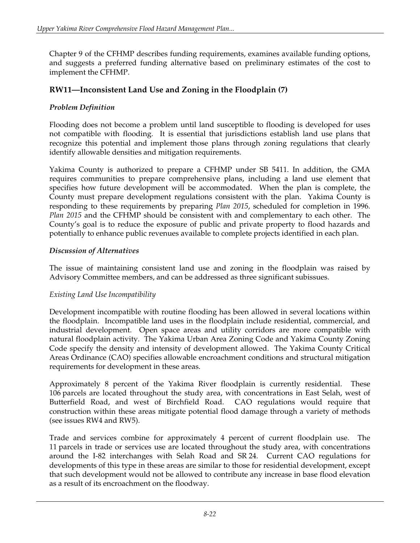Chapter 9 of the CFHMP describes funding requirements, examines available funding options, and suggests a preferred funding alternative based on preliminary estimates of the cost to implement the CFHMP.

### **RW11—Inconsistent Land Use and Zoning in the Floodplain (7)**

### *Problem Definition*

Flooding does not become a problem until land susceptible to flooding is developed for uses not compatible with flooding. It is essential that jurisdictions establish land use plans that recognize this potential and implement those plans through zoning regulations that clearly identify allowable densities and mitigation requirements.

Yakima County is authorized to prepare a CFHMP under SB 5411. In addition, the GMA requires communities to prepare comprehensive plans, including a land use element that specifies how future development will be accommodated. When the plan is complete, the County must prepare development regulations consistent with the plan. Yakima County is responding to these requirements by preparing *Plan 2015*, scheduled for completion in 1996. *Plan 2015* and the CFHMP should be consistent with and complementary to each other. The County's goal is to reduce the exposure of public and private property to flood hazards and potentially to enhance public revenues available to complete projects identified in each plan.

#### *Discussion of Alternatives*

The issue of maintaining consistent land use and zoning in the floodplain was raised by Advisory Committee members, and can be addressed as three significant subissues.

#### *Existing Land Use Incompatibility*

Development incompatible with routine flooding has been allowed in several locations within the floodplain. Incompatible land uses in the floodplain include residential, commercial, and industrial development. Open space areas and utility corridors are more compatible with natural floodplain activity. The Yakima Urban Area Zoning Code and Yakima County Zoning Code specify the density and intensity of development allowed. The Yakima County Critical Areas Ordinance (CAO) specifies allowable encroachment conditions and structural mitigation requirements for development in these areas.

Approximately 8 percent of the Yakima River floodplain is currently residential. These 106 parcels are located throughout the study area, with concentrations in East Selah, west of Butterfield Road, and west of Birchfield Road. CAO regulations would require that construction within these areas mitigate potential flood damage through a variety of methods (see issues RW4 and RW5).

Trade and services combine for approximately 4 percent of current floodplain use. The 11 parcels in trade or services use are located throughout the study area, with concentrations around the I-82 interchanges with Selah Road and SR 24. Current CAO regulations for developments of this type in these areas are similar to those for residential development, except that such development would not be allowed to contribute any increase in base flood elevation as a result of its encroachment on the floodway.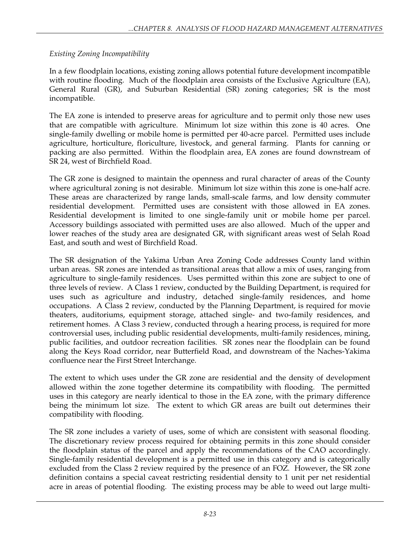### *Existing Zoning Incompatibility*

In a few floodplain locations, existing zoning allows potential future development incompatible with routine flooding. Much of the floodplain area consists of the Exclusive Agriculture (EA), General Rural (GR), and Suburban Residential (SR) zoning categories; SR is the most incompatible.

The EA zone is intended to preserve areas for agriculture and to permit only those new uses that are compatible with agriculture. Minimum lot size within this zone is 40 acres. One single-family dwelling or mobile home is permitted per 40-acre parcel. Permitted uses include agriculture, horticulture, floriculture, livestock, and general farming. Plants for canning or packing are also permitted. Within the floodplain area, EA zones are found downstream of SR 24, west of Birchfield Road.

The GR zone is designed to maintain the openness and rural character of areas of the County where agricultural zoning is not desirable. Minimum lot size within this zone is one-half acre. These areas are characterized by range lands, small-scale farms, and low density commuter residential development. Permitted uses are consistent with those allowed in EA zones. Residential development is limited to one single-family unit or mobile home per parcel. Accessory buildings associated with permitted uses are also allowed. Much of the upper and lower reaches of the study area are designated GR, with significant areas west of Selah Road East, and south and west of Birchfield Road.

The SR designation of the Yakima Urban Area Zoning Code addresses County land within urban areas. SR zones are intended as transitional areas that allow a mix of uses, ranging from agriculture to single-family residences. Uses permitted within this zone are subject to one of three levels of review. A Class 1 review, conducted by the Building Department, is required for uses such as agriculture and industry, detached single-family residences, and home occupations. A Class 2 review, conducted by the Planning Department, is required for movie theaters, auditoriums, equipment storage, attached single- and two-family residences, and retirement homes. A Class 3 review, conducted through a hearing process, is required for more controversial uses, including public residential developments, multi-family residences, mining, public facilities, and outdoor recreation facilities. SR zones near the floodplain can be found along the Keys Road corridor, near Butterfield Road, and downstream of the Naches-Yakima confluence near the First Street Interchange.

The extent to which uses under the GR zone are residential and the density of development allowed within the zone together determine its compatibility with flooding. The permitted uses in this category are nearly identical to those in the EA zone, with the primary difference being the minimum lot size. The extent to which GR areas are built out determines their compatibility with flooding.

The SR zone includes a variety of uses, some of which are consistent with seasonal flooding. The discretionary review process required for obtaining permits in this zone should consider the floodplain status of the parcel and apply the recommendations of the CAO accordingly. Single-family residential development is a permitted use in this category and is categorically excluded from the Class 2 review required by the presence of an FOZ. However, the SR zone definition contains a special caveat restricting residential density to 1 unit per net residential acre in areas of potential flooding. The existing process may be able to weed out large multi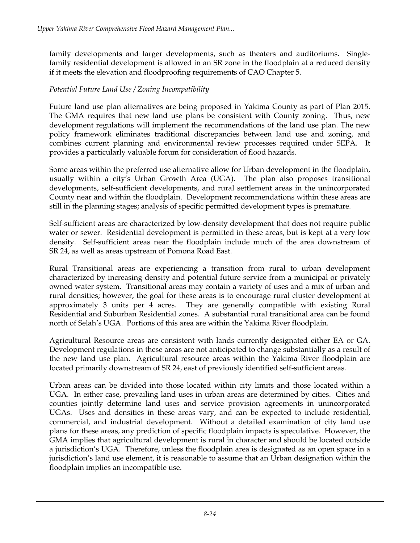family developments and larger developments, such as theaters and auditoriums. Singlefamily residential development is allowed in an SR zone in the floodplain at a reduced density if it meets the elevation and floodproofing requirements of CAO Chapter 5.

#### *Potential Future Land Use / Zoning Incompatibility*

Future land use plan alternatives are being proposed in Yakima County as part of Plan 2015. The GMA requires that new land use plans be consistent with County zoning. Thus, new development regulations will implement the recommendations of the land use plan. The new policy framework eliminates traditional discrepancies between land use and zoning, and combines current planning and environmental review processes required under SEPA. It provides a particularly valuable forum for consideration of flood hazards.

Some areas within the preferred use alternative allow for Urban development in the floodplain, usually within a city's Urban Growth Area (UGA). The plan also proposes transitional developments, self-sufficient developments, and rural settlement areas in the unincorporated County near and within the floodplain. Development recommendations within these areas are still in the planning stages; analysis of specific permitted development types is premature.

Self-sufficient areas are characterized by low-density development that does not require public water or sewer. Residential development is permitted in these areas, but is kept at a very low density. Self-sufficient areas near the floodplain include much of the area downstream of SR 24, as well as areas upstream of Pomona Road East.

Rural Transitional areas are experiencing a transition from rural to urban development characterized by increasing density and potential future service from a municipal or privately owned water system. Transitional areas may contain a variety of uses and a mix of urban and rural densities; however, the goal for these areas is to encourage rural cluster development at approximately 3 units per 4 acres. They are generally compatible with existing Rural Residential and Suburban Residential zones. A substantial rural transitional area can be found north of Selah's UGA. Portions of this area are within the Yakima River floodplain.

Agricultural Resource areas are consistent with lands currently designated either EA or GA. Development regulations in these areas are not anticipated to change substantially as a result of the new land use plan. Agricultural resource areas within the Yakima River floodplain are located primarily downstream of SR 24, east of previously identified self-sufficient areas.

Urban areas can be divided into those located within city limits and those located within a UGA. In either case, prevailing land uses in urban areas are determined by cities. Cities and counties jointly determine land uses and service provision agreements in unincorporated UGAs. Uses and densities in these areas vary, and can be expected to include residential, commercial, and industrial development. Without a detailed examination of city land use plans for these areas, any prediction of specific floodplain impacts is speculative. However, the GMA implies that agricultural development is rural in character and should be located outside a jurisdiction's UGA. Therefore, unless the floodplain area is designated as an open space in a jurisdiction's land use element, it is reasonable to assume that an Urban designation within the floodplain implies an incompatible use.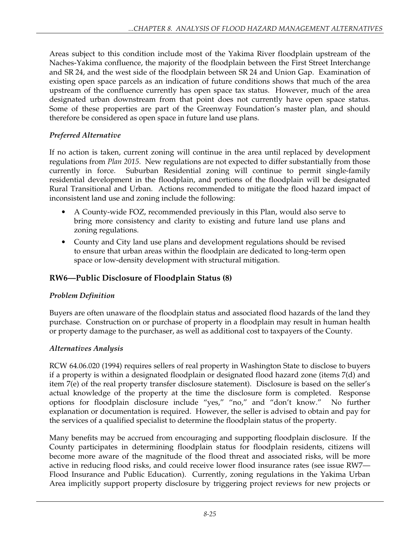Areas subject to this condition include most of the Yakima River floodplain upstream of the Naches-Yakima confluence, the majority of the floodplain between the First Street Interchange and SR 24, and the west side of the floodplain between SR 24 and Union Gap. Examination of existing open space parcels as an indication of future conditions shows that much of the area upstream of the confluence currently has open space tax status. However, much of the area designated urban downstream from that point does not currently have open space status. Some of these properties are part of the Greenway Foundation's master plan, and should therefore be considered as open space in future land use plans.

## *Preferred Alternative*

If no action is taken, current zoning will continue in the area until replaced by development regulations from *Plan 2015*. New regulations are not expected to differ substantially from those currently in force. Suburban Residential zoning will continue to permit single-family residential development in the floodplain, and portions of the floodplain will be designated Rural Transitional and Urban. Actions recommended to mitigate the flood hazard impact of inconsistent land use and zoning include the following:

- A County-wide FOZ, recommended previously in this Plan, would also serve to bring more consistency and clarity to existing and future land use plans and zoning regulations.
- County and City land use plans and development regulations should be revised to ensure that urban areas within the floodplain are dedicated to long-term open space or low-density development with structural mitigation.

## **RW6—Public Disclosure of Floodplain Status (8)**

## *Problem Definition*

Buyers are often unaware of the floodplain status and associated flood hazards of the land they purchase. Construction on or purchase of property in a floodplain may result in human health or property damage to the purchaser, as well as additional cost to taxpayers of the County.

## *Alternatives Analysis*

RCW 64.06.020 (1994) requires sellers of real property in Washington State to disclose to buyers if a property is within a designated floodplain or designated flood hazard zone (items 7(d) and item 7(e) of the real property transfer disclosure statement). Disclosure is based on the seller's actual knowledge of the property at the time the disclosure form is completed. Response options for floodplain disclosure include "yes," "no," and "don't know." No further explanation or documentation is required. However, the seller is advised to obtain and pay for the services of a qualified specialist to determine the floodplain status of the property.

Many benefits may be accrued from encouraging and supporting floodplain disclosure. If the County participates in determining floodplain status for floodplain residents, citizens will become more aware of the magnitude of the flood threat and associated risks, will be more active in reducing flood risks, and could receive lower flood insurance rates (see issue RW7— Flood Insurance and Public Education). Currently, zoning regulations in the Yakima Urban Area implicitly support property disclosure by triggering project reviews for new projects or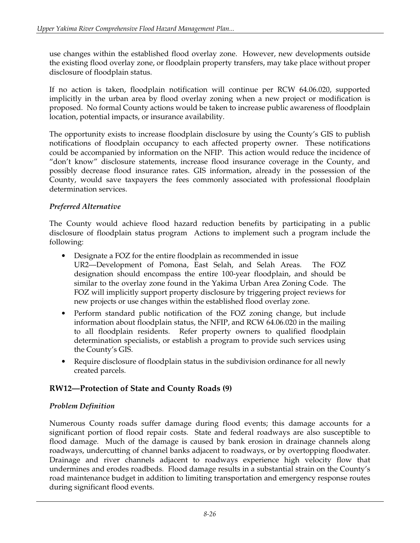use changes within the established flood overlay zone. However, new developments outside the existing flood overlay zone, or floodplain property transfers, may take place without proper disclosure of floodplain status.

If no action is taken, floodplain notification will continue per RCW 64.06.020, supported implicitly in the urban area by flood overlay zoning when a new project or modification is proposed. No formal County actions would be taken to increase public awareness of floodplain location, potential impacts, or insurance availability.

The opportunity exists to increase floodplain disclosure by using the County's GIS to publish notifications of floodplain occupancy to each affected property owner. These notifications could be accompanied by information on the NFIP. This action would reduce the incidence of "don't know" disclosure statements, increase flood insurance coverage in the County, and possibly decrease flood insurance rates. GIS information, already in the possession of the County, would save taxpayers the fees commonly associated with professional floodplain determination services.

### *Preferred Alternative*

The County would achieve flood hazard reduction benefits by participating in a public disclosure of floodplain status program Actions to implement such a program include the following:

- Designate a FOZ for the entire floodplain as recommended in issue UR2—Development of Pomona, East Selah, and Selah Areas. The FOZ designation should encompass the entire 100-year floodplain, and should be similar to the overlay zone found in the Yakima Urban Area Zoning Code. The FOZ will implicitly support property disclosure by triggering project reviews for new projects or use changes within the established flood overlay zone.
- Perform standard public notification of the FOZ zoning change, but include information about floodplain status, the NFIP, and RCW 64.06.020 in the mailing to all floodplain residents. Refer property owners to qualified floodplain determination specialists, or establish a program to provide such services using the County's GIS.
- Require disclosure of floodplain status in the subdivision ordinance for all newly created parcels.

## **RW12—Protection of State and County Roads (9)**

### *Problem Definition*

Numerous County roads suffer damage during flood events; this damage accounts for a significant portion of flood repair costs. State and federal roadways are also susceptible to flood damage. Much of the damage is caused by bank erosion in drainage channels along roadways, undercutting of channel banks adjacent to roadways, or by overtopping floodwater. Drainage and river channels adjacent to roadways experience high velocity flow that undermines and erodes roadbeds. Flood damage results in a substantial strain on the County's road maintenance budget in addition to limiting transportation and emergency response routes during significant flood events.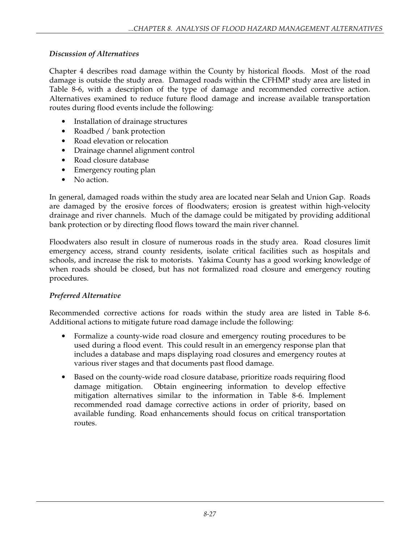### *Discussion of Alternatives*

Chapter 4 describes road damage within the County by historical floods. Most of the road damage is outside the study area. Damaged roads within the CFHMP study area are listed in Table 8-6, with a description of the type of damage and recommended corrective action. Alternatives examined to reduce future flood damage and increase available transportation routes during flood events include the following:

- Installation of drainage structures
- Roadbed / bank protection
- Road elevation or relocation
- Drainage channel alignment control
- Road closure database
- Emergency routing plan
- No action.

In general, damaged roads within the study area are located near Selah and Union Gap. Roads are damaged by the erosive forces of floodwaters; erosion is greatest within high-velocity drainage and river channels. Much of the damage could be mitigated by providing additional bank protection or by directing flood flows toward the main river channel.

Floodwaters also result in closure of numerous roads in the study area. Road closures limit emergency access, strand county residents, isolate critical facilities such as hospitals and schools, and increase the risk to motorists. Yakima County has a good working knowledge of when roads should be closed, but has not formalized road closure and emergency routing procedures.

#### *Preferred Alternative*

Recommended corrective actions for roads within the study area are listed in Table 8-6. Additional actions to mitigate future road damage include the following:

- Formalize a county-wide road closure and emergency routing procedures to be used during a flood event. This could result in an emergency response plan that includes a database and maps displaying road closures and emergency routes at various river stages and that documents past flood damage.
- Based on the county-wide road closure database, prioritize roads requiring flood damage mitigation. Obtain engineering information to develop effective mitigation alternatives similar to the information in Table 8-6. Implement recommended road damage corrective actions in order of priority, based on available funding. Road enhancements should focus on critical transportation routes.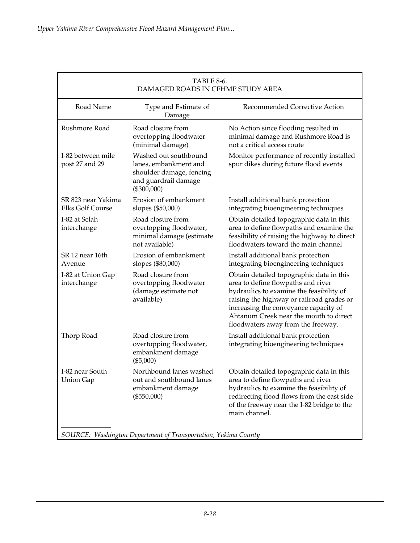| TABLE 8-6.<br>DAMAGED ROADS IN CFHMP STUDY AREA |                                                                                                                     |                                                                                                                                                                                                                                                                                                  |  |  |
|-------------------------------------------------|---------------------------------------------------------------------------------------------------------------------|--------------------------------------------------------------------------------------------------------------------------------------------------------------------------------------------------------------------------------------------------------------------------------------------------|--|--|
| Road Name                                       | Type and Estimate of<br>Damage                                                                                      | Recommended Corrective Action                                                                                                                                                                                                                                                                    |  |  |
| Rushmore Road                                   | Road closure from<br>overtopping floodwater<br>(minimal damage)                                                     | No Action since flooding resulted in<br>minimal damage and Rushmore Road is<br>not a critical access route                                                                                                                                                                                       |  |  |
| I-82 between mile<br>post 27 and 29             | Washed out southbound<br>lanes, embankment and<br>shoulder damage, fencing<br>and guardrail damage<br>$(\$300,000)$ | Monitor performance of recently installed<br>spur dikes during future flood events                                                                                                                                                                                                               |  |  |
| SR 823 near Yakima<br>Elks Golf Course          | Erosion of embankment<br>slopes (\$50,000)                                                                          | Install additional bank protection<br>integrating bioengineering techniques                                                                                                                                                                                                                      |  |  |
| I-82 at Selah<br>interchange                    | Road closure from<br>overtopping floodwater,<br>minimal damage (estimate<br>not available)                          | Obtain detailed topographic data in this<br>area to define flowpaths and examine the<br>feasibility of raising the highway to direct<br>floodwaters toward the main channel                                                                                                                      |  |  |
| SR 12 near 16th<br>Avenue                       | Erosion of embankment<br>slopes (\$80,000)                                                                          | Install additional bank protection<br>integrating bioengineering techniques                                                                                                                                                                                                                      |  |  |
| I-82 at Union Gap<br>interchange                | Road closure from<br>overtopping floodwater<br>(damage estimate not<br>available)                                   | Obtain detailed topographic data in this<br>area to define flowpaths and river<br>hydraulics to examine the feasibility of<br>raising the highway or railroad grades or<br>increasing the conveyance capacity of<br>Ahtanum Creek near the mouth to direct<br>floodwaters away from the freeway. |  |  |
| Thorp Road                                      | Road closure from<br>overtopping floodwater,<br>embankment damage<br>$(\$5,000)$                                    | Install additional bank protection<br>integrating bioengineering techniques                                                                                                                                                                                                                      |  |  |
| I-82 near South<br><b>Union Gap</b>             | Northbound lanes washed<br>out and southbound lanes<br>embankment damage<br>(\$550,000)                             | Obtain detailed topographic data in this<br>area to define flowpaths and river<br>hydraulics to examine the feasibility of<br>redirecting flood flows from the east side<br>of the freeway near the I-82 bridge to the<br>main channel.                                                          |  |  |
|                                                 | SOURCE: Washington Department of Transportation, Yakima County                                                      |                                                                                                                                                                                                                                                                                                  |  |  |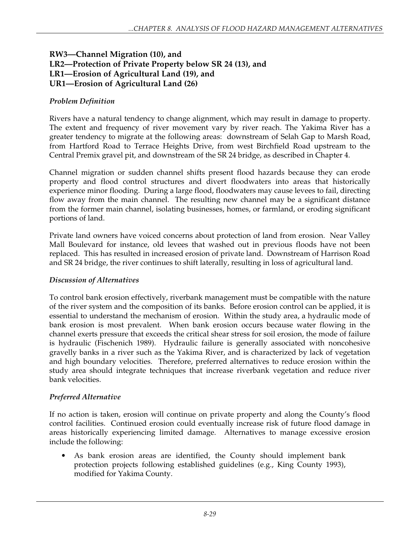### **RW3—Channel Migration (10), and LR2—Protection of Private Property below SR 24 (13), and LR1—Erosion of Agricultural Land (19), and UR1—Erosion of Agricultural Land (26)**

#### *Problem Definition*

Rivers have a natural tendency to change alignment, which may result in damage to property. The extent and frequency of river movement vary by river reach. The Yakima River has a greater tendency to migrate at the following areas: downstream of Selah Gap to Marsh Road, from Hartford Road to Terrace Heights Drive, from west Birchfield Road upstream to the Central Premix gravel pit, and downstream of the SR 24 bridge, as described in Chapter 4.

Channel migration or sudden channel shifts present flood hazards because they can erode property and flood control structures and divert floodwaters into areas that historically experience minor flooding. During a large flood, floodwaters may cause levees to fail, directing flow away from the main channel. The resulting new channel may be a significant distance from the former main channel, isolating businesses, homes, or farmland, or eroding significant portions of land.

Private land owners have voiced concerns about protection of land from erosion. Near Valley Mall Boulevard for instance, old levees that washed out in previous floods have not been replaced. This has resulted in increased erosion of private land. Downstream of Harrison Road and SR 24 bridge, the river continues to shift laterally, resulting in loss of agricultural land.

#### *Discussion of Alternatives*

To control bank erosion effectively, riverbank management must be compatible with the nature of the river system and the composition of its banks. Before erosion control can be applied, it is essential to understand the mechanism of erosion. Within the study area, a hydraulic mode of bank erosion is most prevalent. When bank erosion occurs because water flowing in the channel exerts pressure that exceeds the critical shear stress for soil erosion, the mode of failure is hydraulic (Fischenich 1989). Hydraulic failure is generally associated with noncohesive gravelly banks in a river such as the Yakima River, and is characterized by lack of vegetation and high boundary velocities. Therefore, preferred alternatives to reduce erosion within the study area should integrate techniques that increase riverbank vegetation and reduce river bank velocities.

#### *Preferred Alternative*

If no action is taken, erosion will continue on private property and along the County's flood control facilities. Continued erosion could eventually increase risk of future flood damage in areas historically experiencing limited damage. Alternatives to manage excessive erosion include the following:

• As bank erosion areas are identified, the County should implement bank protection projects following established guidelines (e.g., King County 1993), modified for Yakima County.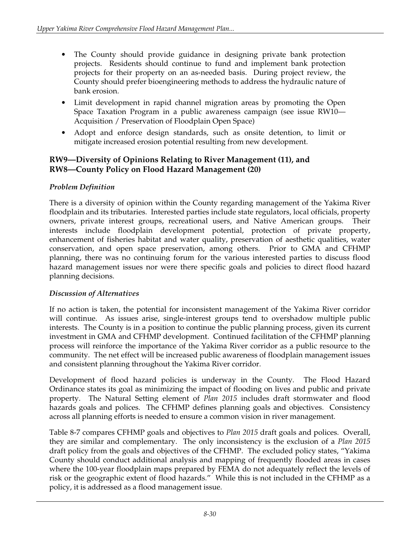- The County should provide guidance in designing private bank protection projects. Residents should continue to fund and implement bank protection projects for their property on an as-needed basis. During project review, the County should prefer bioengineering methods to address the hydraulic nature of bank erosion.
- Limit development in rapid channel migration areas by promoting the Open Space Taxation Program in a public awareness campaign (see issue RW10— Acquisition / Preservation of Floodplain Open Space)
- Adopt and enforce design standards, such as onsite detention, to limit or mitigate increased erosion potential resulting from new development.

### **RW9—Diversity of Opinions Relating to River Management (11), and RW8—County Policy on Flood Hazard Management (20)**

### *Problem Definition*

There is a diversity of opinion within the County regarding management of the Yakima River floodplain and its tributaries. Interested parties include state regulators, local officials, property owners, private interest groups, recreational users, and Native American groups. Their interests include floodplain development potential, protection of private property, enhancement of fisheries habitat and water quality, preservation of aesthetic qualities, water conservation, and open space preservation, among others. Prior to GMA and CFHMP planning, there was no continuing forum for the various interested parties to discuss flood hazard management issues nor were there specific goals and policies to direct flood hazard planning decisions.

### *Discussion of Alternatives*

If no action is taken, the potential for inconsistent management of the Yakima River corridor will continue. As issues arise, single-interest groups tend to overshadow multiple public interests. The County is in a position to continue the public planning process, given its current investment in GMA and CFHMP development. Continued facilitation of the CFHMP planning process will reinforce the importance of the Yakima River corridor as a public resource to the community. The net effect will be increased public awareness of floodplain management issues and consistent planning throughout the Yakima River corridor.

Development of flood hazard policies is underway in the County. The Flood Hazard Ordinance states its goal as minimizing the impact of flooding on lives and public and private property. The Natural Setting element of *Plan 2015* includes draft stormwater and flood hazards goals and polices. The CFHMP defines planning goals and objectives. Consistency across all planning efforts is needed to ensure a common vision in river management.

Table 8-7 compares CFHMP goals and objectives to *Plan 2015* draft goals and polices. Overall, they are similar and complementary. The only inconsistency is the exclusion of a *Plan 2015* draft policy from the goals and objectives of the CFHMP. The excluded policy states, "Yakima County should conduct additional analysis and mapping of frequently flooded areas in cases where the 100-year floodplain maps prepared by FEMA do not adequately reflect the levels of risk or the geographic extent of flood hazards." While this is not included in the CFHMP as a policy, it is addressed as a flood management issue.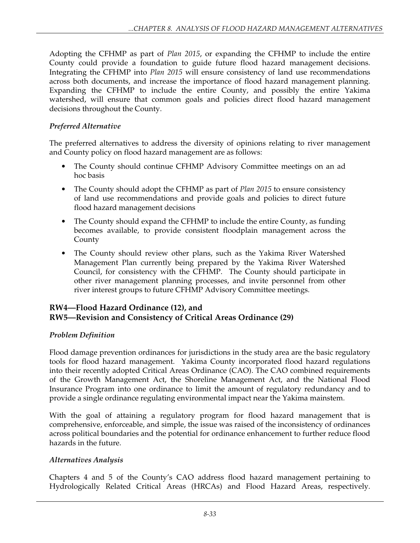Adopting the CFHMP as part of *Plan 2015*, or expanding the CFHMP to include the entire County could provide a foundation to guide future flood hazard management decisions. Integrating the CFHMP into *Plan 2015* will ensure consistency of land use recommendations across both documents, and increase the importance of flood hazard management planning. Expanding the CFHMP to include the entire County, and possibly the entire Yakima watershed, will ensure that common goals and policies direct flood hazard management decisions throughout the County.

#### *Preferred Alternative*

The preferred alternatives to address the diversity of opinions relating to river management and County policy on flood hazard management are as follows:

- The County should continue CFHMP Advisory Committee meetings on an ad hoc basis
- The County should adopt the CFHMP as part of *Plan 2015* to ensure consistency of land use recommendations and provide goals and policies to direct future flood hazard management decisions
- The County should expand the CFHMP to include the entire County, as funding becomes available, to provide consistent floodplain management across the County
- The County should review other plans, such as the Yakima River Watershed Management Plan currently being prepared by the Yakima River Watershed Council, for consistency with the CFHMP. The County should participate in other river management planning processes, and invite personnel from other river interest groups to future CFHMP Advisory Committee meetings.

### **RW4—Flood Hazard Ordinance (12), and RW5—Revision and Consistency of Critical Areas Ordinance (29)**

#### *Problem Definition*

Flood damage prevention ordinances for jurisdictions in the study area are the basic regulatory tools for flood hazard management. Yakima County incorporated flood hazard regulations into their recently adopted Critical Areas Ordinance (CAO). The CAO combined requirements of the Growth Management Act, the Shoreline Management Act, and the National Flood Insurance Program into one ordinance to limit the amount of regulatory redundancy and to provide a single ordinance regulating environmental impact near the Yakima mainstem.

With the goal of attaining a regulatory program for flood hazard management that is comprehensive, enforceable, and simple, the issue was raised of the inconsistency of ordinances across political boundaries and the potential for ordinance enhancement to further reduce flood hazards in the future.

#### *Alternatives Analysis*

Chapters 4 and 5 of the County's CAO address flood hazard management pertaining to Hydrologically Related Critical Areas (HRCAs) and Flood Hazard Areas, respectively.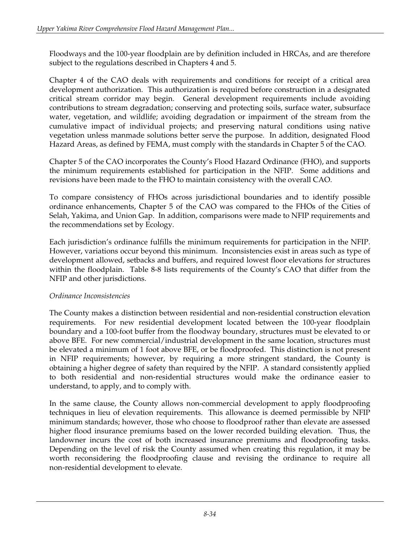Floodways and the 100-year floodplain are by definition included in HRCAs, and are therefore subject to the regulations described in Chapters 4 and 5.

Chapter 4 of the CAO deals with requirements and conditions for receipt of a critical area development authorization. This authorization is required before construction in a designated critical stream corridor may begin. General development requirements include avoiding contributions to stream degradation; conserving and protecting soils, surface water, subsurface water, vegetation, and wildlife; avoiding degradation or impairment of the stream from the cumulative impact of individual projects; and preserving natural conditions using native vegetation unless manmade solutions better serve the purpose. In addition, designated Flood Hazard Areas, as defined by FEMA, must comply with the standards in Chapter 5 of the CAO.

Chapter 5 of the CAO incorporates the County's Flood Hazard Ordinance (FHO), and supports the minimum requirements established for participation in the NFIP. Some additions and revisions have been made to the FHO to maintain consistency with the overall CAO.

To compare consistency of FHOs across jurisdictional boundaries and to identify possible ordinance enhancements, Chapter 5 of the CAO was compared to the FHOs of the Cities of Selah, Yakima, and Union Gap. In addition, comparisons were made to NFIP requirements and the recommendations set by Ecology.

Each jurisdiction's ordinance fulfills the minimum requirements for participation in the NFIP. However, variations occur beyond this minimum. Inconsistencies exist in areas such as type of development allowed, setbacks and buffers, and required lowest floor elevations for structures within the floodplain. Table 8-8 lists requirements of the County's CAO that differ from the NFIP and other jurisdictions.

### *Ordinance Inconsistencies*

The County makes a distinction between residential and non-residential construction elevation requirements. For new residential development located between the 100-year floodplain boundary and a 100-foot buffer from the floodway boundary, structures must be elevated to or above BFE. For new commercial/industrial development in the same location, structures must be elevated a minimum of 1 foot above BFE, or be floodproofed. This distinction is not present in NFIP requirements; however, by requiring a more stringent standard, the County is obtaining a higher degree of safety than required by the NFIP. A standard consistently applied to both residential and non-residential structures would make the ordinance easier to understand, to apply, and to comply with.

In the same clause, the County allows non-commercial development to apply floodproofing techniques in lieu of elevation requirements. This allowance is deemed permissible by NFIP minimum standards; however, those who choose to floodproof rather than elevate are assessed higher flood insurance premiums based on the lower recorded building elevation. Thus, the landowner incurs the cost of both increased insurance premiums and floodproofing tasks. Depending on the level of risk the County assumed when creating this regulation, it may be worth reconsidering the floodproofing clause and revising the ordinance to require all non-residential development to elevate.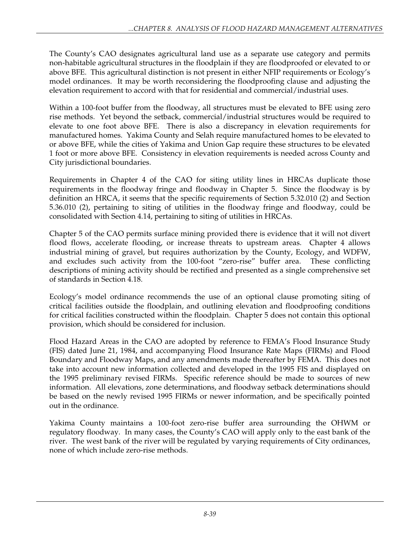The County's CAO designates agricultural land use as a separate use category and permits non-habitable agricultural structures in the floodplain if they are floodproofed or elevated to or above BFE. This agricultural distinction is not present in either NFIP requirements or Ecology's model ordinances. It may be worth reconsidering the floodproofing clause and adjusting the elevation requirement to accord with that for residential and commercial/industrial uses.

Within a 100-foot buffer from the floodway, all structures must be elevated to BFE using zero rise methods. Yet beyond the setback, commercial/industrial structures would be required to elevate to one foot above BFE. There is also a discrepancy in elevation requirements for manufactured homes. Yakima County and Selah require manufactured homes to be elevated to or above BFE, while the cities of Yakima and Union Gap require these structures to be elevated 1 foot or more above BFE. Consistency in elevation requirements is needed across County and City jurisdictional boundaries.

Requirements in Chapter 4 of the CAO for siting utility lines in HRCAs duplicate those requirements in the floodway fringe and floodway in Chapter 5. Since the floodway is by definition an HRCA, it seems that the specific requirements of Section 5.32.010 (2) and Section 5.36.010 (2), pertaining to siting of utilities in the floodway fringe and floodway, could be consolidated with Section 4.14, pertaining to siting of utilities in HRCAs.

Chapter 5 of the CAO permits surface mining provided there is evidence that it will not divert flood flows, accelerate flooding, or increase threats to upstream areas. Chapter 4 allows industrial mining of gravel, but requires authorization by the County, Ecology, and WDFW, and excludes such activity from the 100-foot "zero-rise" buffer area. These conflicting descriptions of mining activity should be rectified and presented as a single comprehensive set of standards in Section 4.18.

Ecology's model ordinance recommends the use of an optional clause promoting siting of critical facilities outside the floodplain, and outlining elevation and floodproofing conditions for critical facilities constructed within the floodplain. Chapter 5 does not contain this optional provision, which should be considered for inclusion.

Flood Hazard Areas in the CAO are adopted by reference to FEMA's Flood Insurance Study (FIS) dated June 21, 1984, and accompanying Flood Insurance Rate Maps (FIRMs) and Flood Boundary and Floodway Maps, and any amendments made thereafter by FEMA. This does not take into account new information collected and developed in the 1995 FIS and displayed on the 1995 preliminary revised FIRMs. Specific reference should be made to sources of new information. All elevations, zone determinations, and floodway setback determinations should be based on the newly revised 1995 FIRMs or newer information, and be specifically pointed out in the ordinance.

Yakima County maintains a 100-foot zero-rise buffer area surrounding the OHWM or regulatory floodway. In many cases, the County's CAO will apply only to the east bank of the river. The west bank of the river will be regulated by varying requirements of City ordinances, none of which include zero-rise methods.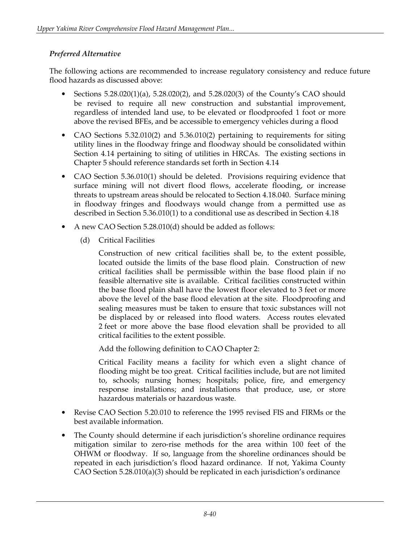## *Preferred Alternative*

The following actions are recommended to increase regulatory consistency and reduce future flood hazards as discussed above:

- Sections 5.28.020(1)(a), 5.28.020(2), and 5.28.020(3) of the County's CAO should be revised to require all new construction and substantial improvement, regardless of intended land use, to be elevated or floodproofed 1 foot or more above the revised BFEs, and be accessible to emergency vehicles during a flood
- CAO Sections 5.32.010(2) and 5.36.010(2) pertaining to requirements for siting utility lines in the floodway fringe and floodway should be consolidated within Section 4.14 pertaining to siting of utilities in HRCAs. The existing sections in Chapter 5 should reference standards set forth in Section 4.14
- CAO Section 5.36.010(1) should be deleted. Provisions requiring evidence that surface mining will not divert flood flows, accelerate flooding, or increase threats to upstream areas should be relocated to Section 4.18.040. Surface mining in floodway fringes and floodways would change from a permitted use as described in Section 5.36.010(1) to a conditional use as described in Section 4.18
- A new CAO Section 5.28.010(d) should be added as follows:
	- (d) Critical Facilities

 Construction of new critical facilities shall be, to the extent possible, located outside the limits of the base flood plain. Construction of new critical facilities shall be permissible within the base flood plain if no feasible alternative site is available. Critical facilities constructed within the base flood plain shall have the lowest floor elevated to 3 feet or more above the level of the base flood elevation at the site. Floodproofing and sealing measures must be taken to ensure that toxic substances will not be displaced by or released into flood waters. Access routes elevated 2 feet or more above the base flood elevation shall be provided to all critical facilities to the extent possible.

Add the following definition to CAO Chapter 2:

 Critical Facility means a facility for which even a slight chance of flooding might be too great. Critical facilities include, but are not limited to, schools; nursing homes; hospitals; police, fire, and emergency response installations; and installations that produce, use, or store hazardous materials or hazardous waste.

- Revise CAO Section 5.20.010 to reference the 1995 revised FIS and FIRMs or the best available information.
- The County should determine if each jurisdiction's shoreline ordinance requires mitigation similar to zero-rise methods for the area within 100 feet of the OHWM or floodway. If so, language from the shoreline ordinances should be repeated in each jurisdiction's flood hazard ordinance. If not, Yakima County CAO Section 5.28.010(a)(3) should be replicated in each jurisdiction's ordinance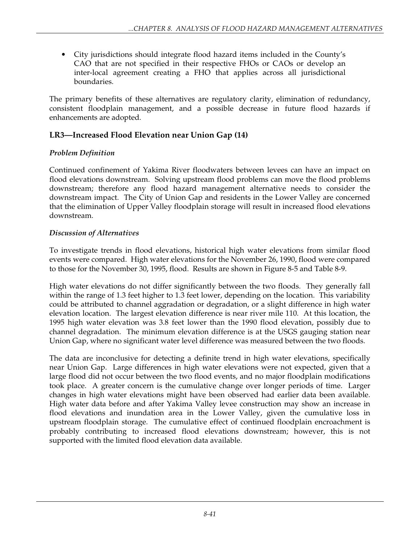• City jurisdictions should integrate flood hazard items included in the County's CAO that are not specified in their respective FHOs or CAOs or develop an inter-local agreement creating a FHO that applies across all jurisdictional boundaries.

The primary benefits of these alternatives are regulatory clarity, elimination of redundancy, consistent floodplain management, and a possible decrease in future flood hazards if enhancements are adopted.

# **LR3—Increased Flood Elevation near Union Gap (14)**

# *Problem Definition*

Continued confinement of Yakima River floodwaters between levees can have an impact on flood elevations downstream. Solving upstream flood problems can move the flood problems downstream; therefore any flood hazard management alternative needs to consider the downstream impact. The City of Union Gap and residents in the Lower Valley are concerned that the elimination of Upper Valley floodplain storage will result in increased flood elevations downstream.

## *Discussion of Alternatives*

To investigate trends in flood elevations, historical high water elevations from similar flood events were compared. High water elevations for the November 26, 1990, flood were compared to those for the November 30, 1995, flood. Results are shown in Figure 8-5 and Table 8-9.

High water elevations do not differ significantly between the two floods. They generally fall within the range of 1.3 feet higher to 1.3 feet lower, depending on the location. This variability could be attributed to channel aggradation or degradation, or a slight difference in high water elevation location. The largest elevation difference is near river mile 110. At this location, the 1995 high water elevation was 3.8 feet lower than the 1990 flood elevation, possibly due to channel degradation. The minimum elevation difference is at the USGS gauging station near Union Gap, where no significant water level difference was measured between the two floods.

The data are inconclusive for detecting a definite trend in high water elevations, specifically near Union Gap. Large differences in high water elevations were not expected, given that a large flood did not occur between the two flood events, and no major floodplain modifications took place. A greater concern is the cumulative change over longer periods of time. Larger changes in high water elevations might have been observed had earlier data been available. High water data before and after Yakima Valley levee construction may show an increase in flood elevations and inundation area in the Lower Valley, given the cumulative loss in upstream floodplain storage. The cumulative effect of continued floodplain encroachment is probably contributing to increased flood elevations downstream; however, this is not supported with the limited flood elevation data available.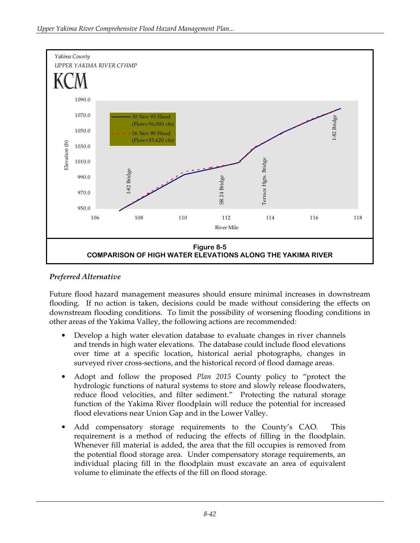

## *Preferred Alternative*

Future flood hazard management measures should ensure minimal increases in downstream flooding. If no action is taken, decisions could be made without considering the effects on downstream flooding conditions. To limit the possibility of worsening flooding conditions in other areas of the Yakima Valley, the following actions are recommended:

- Develop a high water elevation database to evaluate changes in river channels and trends in high water elevations. The database could include flood elevations over time at a specific location, historical aerial photographs, changes in surveyed river cross-sections, and the historical record of flood damage areas.
- Adopt and follow the proposed *Plan 2015* County policy to "protect the hydrologic functions of natural systems to store and slowly release floodwaters, reduce flood velocities, and filter sediment." Protecting the natural storage function of the Yakima River floodplain will reduce the potential for increased flood elevations near Union Gap and in the Lower Valley.
- Add compensatory storage requirements to the County's CAO. This requirement is a method of reducing the effects of filling in the floodplain. Whenever fill material is added, the area that the fill occupies is removed from the potential flood storage area. Under compensatory storage requirements, an individual placing fill in the floodplain must excavate an area of equivalent volume to eliminate the effects of the fill on flood storage.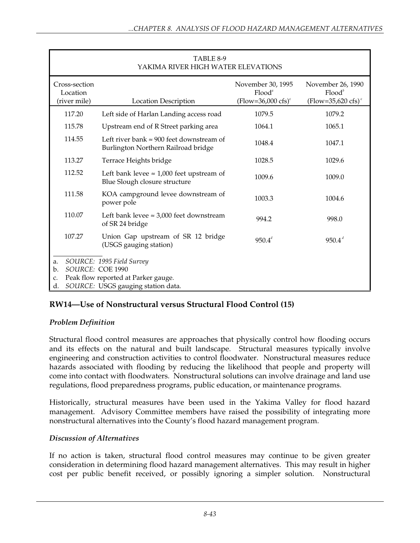| TABLE 8-9<br>YAKIMA RIVER HIGH WATER ELEVATIONS |                                                                                                                            |                                                                 |                                                                       |
|-------------------------------------------------|----------------------------------------------------------------------------------------------------------------------------|-----------------------------------------------------------------|-----------------------------------------------------------------------|
| Cross-section<br>Location<br>(river mile)       | <b>Location Description</b>                                                                                                | November 30, 1995<br>$Flood^a$<br>$(Flow=36,000 \text{ cfs})^c$ | November 26, 1990<br>$Flood^b$<br>$(Flow=35,620 \text{ cfs})^{\circ}$ |
| 117.20                                          | Left side of Harlan Landing access road                                                                                    | 1079.5                                                          | 1079.2                                                                |
| 115.78                                          | Upstream end of R Street parking area                                                                                      | 1064.1                                                          | 1065.1                                                                |
| 114.55                                          | Left river bank $\approx 900$ feet downstream of<br>Burlington Northern Railroad bridge                                    | 1048.4                                                          | 1047.1                                                                |
| 113.27                                          | Terrace Heights bridge                                                                                                     | 1028.5                                                          | 1029.6                                                                |
| 112.52                                          | Left bank levee $\approx 1,000$ feet upstream of<br>Blue Slough closure structure                                          | 1009.6                                                          | 1009.0                                                                |
| 111.58                                          | KOA campground levee downstream of<br>power pole                                                                           | 1003.3                                                          | 1004.6                                                                |
| 110.07                                          | Left bank levee $\approx 3,000$ feet downstream<br>of SR 24 bridge                                                         | 994.2                                                           | 998.0                                                                 |
| 107.27                                          | Union Gap upstream of SR 12 bridge<br>(USGS gauging station)                                                               | $950.4^d$                                                       | 950.4 <sup>d</sup>                                                    |
| a.<br>b.<br>C.<br>d.                            | SOURCE: 1995 Field Survey<br>SOURCE: COE 1990<br>Peak flow reported at Parker gauge.<br>SOURCE: USGS gauging station data. |                                                                 |                                                                       |

# **RW14—Use of Nonstructural versus Structural Flood Control (15)**

## *Problem Definition*

Structural flood control measures are approaches that physically control how flooding occurs and its effects on the natural and built landscape. Structural measures typically involve engineering and construction activities to control floodwater. Nonstructural measures reduce hazards associated with flooding by reducing the likelihood that people and property will come into contact with floodwaters. Nonstructural solutions can involve drainage and land use regulations, flood preparedness programs, public education, or maintenance programs.

Historically, structural measures have been used in the Yakima Valley for flood hazard management. Advisory Committee members have raised the possibility of integrating more nonstructural alternatives into the County's flood hazard management program.

### *Discussion of Alternatives*

If no action is taken, structural flood control measures may continue to be given greater consideration in determining flood hazard management alternatives. This may result in higher cost per public benefit received, or possibly ignoring a simpler solution. Nonstructural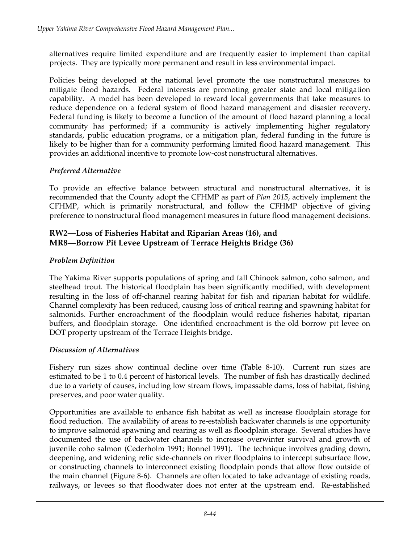alternatives require limited expenditure and are frequently easier to implement than capital projects. They are typically more permanent and result in less environmental impact.

Policies being developed at the national level promote the use nonstructural measures to mitigate flood hazards. Federal interests are promoting greater state and local mitigation capability. A model has been developed to reward local governments that take measures to reduce dependence on a federal system of flood hazard management and disaster recovery. Federal funding is likely to become a function of the amount of flood hazard planning a local community has performed; if a community is actively implementing higher regulatory standards, public education programs, or a mitigation plan, federal funding in the future is likely to be higher than for a community performing limited flood hazard management. This provides an additional incentive to promote low-cost nonstructural alternatives.

## *Preferred Alternative*

To provide an effective balance between structural and nonstructural alternatives, it is recommended that the County adopt the CFHMP as part of *Plan 2015*, actively implement the CFHMP, which is primarily nonstructural, and follow the CFHMP objective of giving preference to nonstructural flood management measures in future flood management decisions.

## **RW2—Loss of Fisheries Habitat and Riparian Areas (16), and MR8—Borrow Pit Levee Upstream of Terrace Heights Bridge (36)**

# *Problem Definition*

The Yakima River supports populations of spring and fall Chinook salmon, coho salmon, and steelhead trout. The historical floodplain has been significantly modified, with development resulting in the loss of off-channel rearing habitat for fish and riparian habitat for wildlife. Channel complexity has been reduced, causing loss of critical rearing and spawning habitat for salmonids. Further encroachment of the floodplain would reduce fisheries habitat, riparian buffers, and floodplain storage. One identified encroachment is the old borrow pit levee on DOT property upstream of the Terrace Heights bridge.

## *Discussion of Alternatives*

Fishery run sizes show continual decline over time (Table 8-10). Current run sizes are estimated to be 1 to 0.4 percent of historical levels. The number of fish has drastically declined due to a variety of causes, including low stream flows, impassable dams, loss of habitat, fishing preserves, and poor water quality.

Opportunities are available to enhance fish habitat as well as increase floodplain storage for flood reduction. The availability of areas to re-establish backwater channels is one opportunity to improve salmonid spawning and rearing as well as floodplain storage. Several studies have documented the use of backwater channels to increase overwinter survival and growth of juvenile coho salmon (Cederholm 1991; Bonnel 1991). The technique involves grading down, deepening, and widening relic side-channels on river floodplains to intercept subsurface flow, or constructing channels to interconnect existing floodplain ponds that allow flow outside of the main channel (Figure 8-6). Channels are often located to take advantage of existing roads, railways, or levees so that floodwater does not enter at the upstream end. Re-established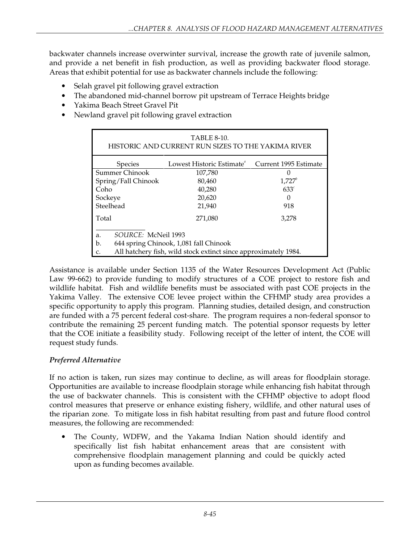backwater channels increase overwinter survival, increase the growth rate of juvenile salmon, and provide a net benefit in fish production, as well as providing backwater flood storage. Areas that exhibit potential for use as backwater channels include the following:

- Selah gravel pit following gravel extraction
- The abandoned mid-channel borrow pit upstream of Terrace Heights bridge
- Yakima Beach Street Gravel Pit
- Newland gravel pit following gravel extraction

| <b>TABLE 8-10.</b><br>HISTORIC AND CURRENT RUN SIZES TO THE YAKIMA RIVER |                           |                       |  |
|--------------------------------------------------------------------------|---------------------------|-----------------------|--|
| <b>Species</b>                                                           | Lowest Historic Estimate" | Current 1995 Estimate |  |
| Summer Chinook                                                           | 107,780                   | $\theta$              |  |
| Spring/Fall Chinook                                                      | 80,460                    | $1,727^b$             |  |
| Coho                                                                     | 40,280                    | $633^\circ$           |  |
| Sockeye                                                                  | 20,620                    | 0                     |  |
| Steelhead                                                                | 21,940                    | 918                   |  |
| Total                                                                    | 271,080                   | 3,278                 |  |
| SOURCE: McNeil 1993<br>a.                                                |                           |                       |  |
| 644 spring Chinook, 1,081 fall Chinook<br>b.                             |                           |                       |  |
| All hatchery fish, wild stock extinct since approximately 1984.<br>C.    |                           |                       |  |

Assistance is available under Section 1135 of the Water Resources Development Act (Public Law 99-662) to provide funding to modify structures of a COE project to restore fish and wildlife habitat. Fish and wildlife benefits must be associated with past COE projects in the Yakima Valley. The extensive COE levee project within the CFHMP study area provides a specific opportunity to apply this program. Planning studies, detailed design, and construction are funded with a 75 percent federal cost-share. The program requires a non-federal sponsor to contribute the remaining 25 percent funding match. The potential sponsor requests by letter that the COE initiate a feasibility study. Following receipt of the letter of intent, the COE will request study funds.

# *Preferred Alternative*

If no action is taken, run sizes may continue to decline, as will areas for floodplain storage. Opportunities are available to increase floodplain storage while enhancing fish habitat through the use of backwater channels. This is consistent with the CFHMP objective to adopt flood control measures that preserve or enhance existing fishery, wildlife, and other natural uses of the riparian zone. To mitigate loss in fish habitat resulting from past and future flood control measures, the following are recommended:

The County, WDFW, and the Yakama Indian Nation should identify and specifically list fish habitat enhancement areas that are consistent with comprehensive floodplain management planning and could be quickly acted upon as funding becomes available.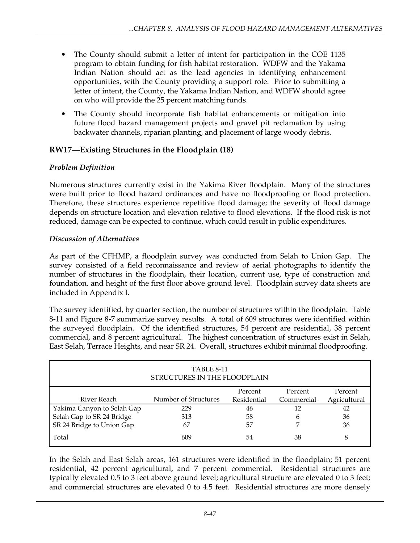- The County should submit a letter of intent for participation in the COE 1135 program to obtain funding for fish habitat restoration. WDFW and the Yakama Indian Nation should act as the lead agencies in identifying enhancement opportunities, with the County providing a support role. Prior to submitting a letter of intent, the County, the Yakama Indian Nation, and WDFW should agree on who will provide the 25 percent matching funds.
- The County should incorporate fish habitat enhancements or mitigation into future flood hazard management projects and gravel pit reclamation by using backwater channels, riparian planting, and placement of large woody debris.

# **RW17—Existing Structures in the Floodplain (18)**

# *Problem Definition*

Numerous structures currently exist in the Yakima River floodplain. Many of the structures were built prior to flood hazard ordinances and have no floodproofing or flood protection. Therefore, these structures experience repetitive flood damage; the severity of flood damage depends on structure location and elevation relative to flood elevations. If the flood risk is not reduced, damage can be expected to continue, which could result in public expenditures.

# *Discussion of Alternatives*

As part of the CFHMP, a floodplain survey was conducted from Selah to Union Gap. The survey consisted of a field reconnaissance and review of aerial photographs to identify the number of structures in the floodplain, their location, current use, type of construction and foundation, and height of the first floor above ground level. Floodplain survey data sheets are included in Appendix I.

The survey identified, by quarter section, the number of structures within the floodplain. Table 8-11 and Figure 8-7 summarize survey results. A total of 609 structures were identified within the surveyed floodplain. Of the identified structures, 54 percent are residential, 38 percent commercial, and 8 percent agricultural. The highest concentration of structures exist in Selah, East Selah, Terrace Heights, and near SR 24. Overall, structures exhibit minimal floodproofing.

| TABLE 8-11<br>STRUCTURES IN THE FLOODPLAIN |                      |             |            |              |
|--------------------------------------------|----------------------|-------------|------------|--------------|
|                                            |                      | Percent     | Percent    | Percent      |
| River Reach                                | Number of Structures | Residential | Commercial | Agricultural |
| Yakima Canyon to Selah Gap                 | 229                  | 46          | 12         | 42           |
| Selah Gap to SR 24 Bridge                  | 313                  | 58          | 6          | 36           |
| SR 24 Bridge to Union Gap                  | 67                   | 57          |            | 36           |
| Total                                      | 609                  | 54          | 38         | 8            |

In the Selah and East Selah areas, 161 structures were identified in the floodplain; 51 percent residential, 42 percent agricultural, and 7 percent commercial. Residential structures are typically elevated 0.5 to 3 feet above ground level; agricultural structure are elevated 0 to 3 feet; and commercial structures are elevated 0 to 4.5 feet. Residential structures are more densely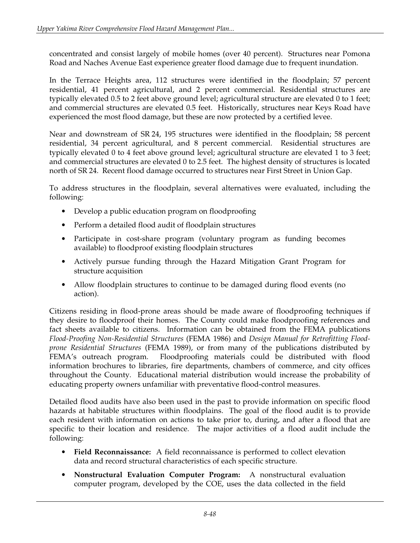concentrated and consist largely of mobile homes (over 40 percent). Structures near Pomona Road and Naches Avenue East experience greater flood damage due to frequent inundation.

In the Terrace Heights area, 112 structures were identified in the floodplain; 57 percent residential, 41 percent agricultural, and 2 percent commercial. Residential structures are typically elevated 0.5 to 2 feet above ground level; agricultural structure are elevated 0 to 1 feet; and commercial structures are elevated 0.5 feet. Historically, structures near Keys Road have experienced the most flood damage, but these are now protected by a certified levee.

Near and downstream of SR 24, 195 structures were identified in the floodplain; 58 percent residential, 34 percent agricultural, and 8 percent commercial. Residential structures are typically elevated 0 to 4 feet above ground level; agricultural structure are elevated 1 to 3 feet; and commercial structures are elevated 0 to 2.5 feet. The highest density of structures is located north of SR 24. Recent flood damage occurred to structures near First Street in Union Gap.

To address structures in the floodplain, several alternatives were evaluated, including the following:

- Develop a public education program on floodproofing
- Perform a detailed flood audit of floodplain structures
- Participate in cost-share program (voluntary program as funding becomes available) to floodproof existing floodplain structures
- Actively pursue funding through the Hazard Mitigation Grant Program for structure acquisition
- Allow floodplain structures to continue to be damaged during flood events (no action).

Citizens residing in flood-prone areas should be made aware of floodproofing techniques if they desire to floodproof their homes. The County could make floodproofing references and fact sheets available to citizens. Information can be obtained from the FEMA publications *Flood-Proofing Non-Residential Structures* (FEMA 1986) and *Design Manual for Retrofitting Floodprone Residential Structures* (FEMA 1989), or from many of the publications distributed by FEMA's outreach program. Floodproofing materials could be distributed with flood information brochures to libraries, fire departments, chambers of commerce, and city offices throughout the County. Educational material distribution would increase the probability of educating property owners unfamiliar with preventative flood-control measures.

Detailed flood audits have also been used in the past to provide information on specific flood hazards at habitable structures within floodplains. The goal of the flood audit is to provide each resident with information on actions to take prior to, during, and after a flood that are specific to their location and residence. The major activities of a flood audit include the following:

- **Field Reconnaissance:** A field reconnaissance is performed to collect elevation data and record structural characteristics of each specific structure.
- **Nonstructural Evaluation Computer Program:** A nonstructural evaluation computer program, developed by the COE, uses the data collected in the field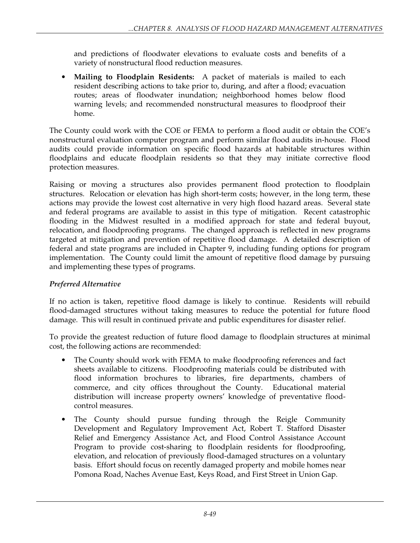and predictions of floodwater elevations to evaluate costs and benefits of a variety of nonstructural flood reduction measures.

• **Mailing to Floodplain Residents:** A packet of materials is mailed to each resident describing actions to take prior to, during, and after a flood; evacuation routes; areas of floodwater inundation; neighborhood homes below flood warning levels; and recommended nonstructural measures to floodproof their home.

The County could work with the COE or FEMA to perform a flood audit or obtain the COE's nonstructural evaluation computer program and perform similar flood audits in-house. Flood audits could provide information on specific flood hazards at habitable structures within floodplains and educate floodplain residents so that they may initiate corrective flood protection measures.

Raising or moving a structures also provides permanent flood protection to floodplain structures. Relocation or elevation has high short-term costs; however, in the long term, these actions may provide the lowest cost alternative in very high flood hazard areas. Several state and federal programs are available to assist in this type of mitigation. Recent catastrophic flooding in the Midwest resulted in a modified approach for state and federal buyout, relocation, and floodproofing programs. The changed approach is reflected in new programs targeted at mitigation and prevention of repetitive flood damage. A detailed description of federal and state programs are included in Chapter 9, including funding options for program implementation. The County could limit the amount of repetitive flood damage by pursuing and implementing these types of programs.

## *Preferred Alternative*

If no action is taken, repetitive flood damage is likely to continue. Residents will rebuild flood-damaged structures without taking measures to reduce the potential for future flood damage. This will result in continued private and public expenditures for disaster relief.

To provide the greatest reduction of future flood damage to floodplain structures at minimal cost, the following actions are recommended:

- The County should work with FEMA to make floodproofing references and fact sheets available to citizens. Floodproofing materials could be distributed with flood information brochures to libraries, fire departments, chambers of commerce, and city offices throughout the County. Educational material distribution will increase property owners' knowledge of preventative floodcontrol measures.
- The County should pursue funding through the Reigle Community Development and Regulatory Improvement Act, Robert T. Stafford Disaster Relief and Emergency Assistance Act, and Flood Control Assistance Account Program to provide cost-sharing to floodplain residents for floodproofing, elevation, and relocation of previously flood-damaged structures on a voluntary basis. Effort should focus on recently damaged property and mobile homes near Pomona Road, Naches Avenue East, Keys Road, and First Street in Union Gap.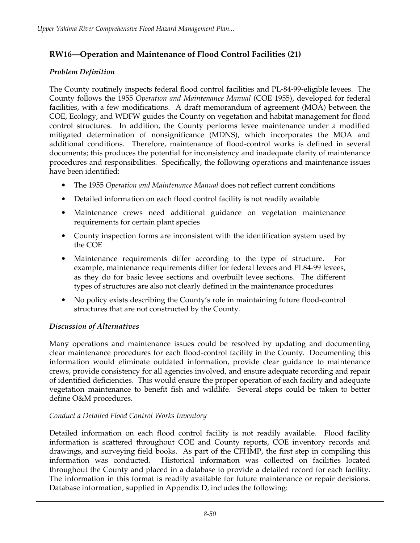# **RW16—Operation and Maintenance of Flood Control Facilities (21)**

## *Problem Definition*

The County routinely inspects federal flood control facilities and PL-84-99-eligible levees. The County follows the 1955 *Operation and Maintenance Manual* (COE 1955), developed for federal facilities, with a few modifications. A draft memorandum of agreement (MOA) between the COE, Ecology, and WDFW guides the County on vegetation and habitat management for flood control structures. In addition, the County performs levee maintenance under a modified mitigated determination of nonsignificance (MDNS), which incorporates the MOA and additional conditions. Therefore, maintenance of flood-control works is defined in several documents; this produces the potential for inconsistency and inadequate clarity of maintenance procedures and responsibilities. Specifically, the following operations and maintenance issues have been identified:

- The 1955 *Operation and Maintenance Manual* does not reflect current conditions
- Detailed information on each flood control facility is not readily available
- Maintenance crews need additional guidance on vegetation maintenance requirements for certain plant species
- County inspection forms are inconsistent with the identification system used by the COE
- Maintenance requirements differ according to the type of structure. For example, maintenance requirements differ for federal levees and PL84-99 levees, as they do for basic levee sections and overbuilt levee sections. The different types of structures are also not clearly defined in the maintenance procedures
- No policy exists describing the County's role in maintaining future flood-control structures that are not constructed by the County.

## *Discussion of Alternatives*

Many operations and maintenance issues could be resolved by updating and documenting clear maintenance procedures for each flood-control facility in the County. Documenting this information would eliminate outdated information, provide clear guidance to maintenance crews, provide consistency for all agencies involved, and ensure adequate recording and repair of identified deficiencies. This would ensure the proper operation of each facility and adequate vegetation maintenance to benefit fish and wildlife. Several steps could be taken to better define O&M procedures.

## *Conduct a Detailed Flood Control Works Inventory*

Detailed information on each flood control facility is not readily available. Flood facility information is scattered throughout COE and County reports, COE inventory records and drawings, and surveying field books. As part of the CFHMP, the first step in compiling this information was conducted. Historical information was collected on facilities located throughout the County and placed in a database to provide a detailed record for each facility. The information in this format is readily available for future maintenance or repair decisions. Database information, supplied in Appendix D, includes the following: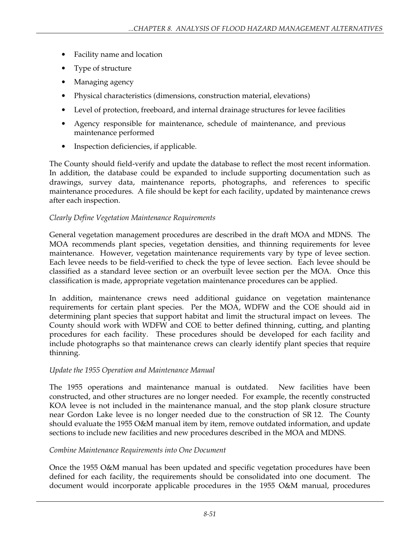- Facility name and location
- Type of structure
- Managing agency
- Physical characteristics (dimensions, construction material, elevations)
- Level of protection, freeboard, and internal drainage structures for levee facilities
- Agency responsible for maintenance, schedule of maintenance, and previous maintenance performed
- Inspection deficiencies, if applicable.

The County should field-verify and update the database to reflect the most recent information. In addition, the database could be expanded to include supporting documentation such as drawings, survey data, maintenance reports, photographs, and references to specific maintenance procedures. A file should be kept for each facility, updated by maintenance crews after each inspection.

### *Clearly Define Vegetation Maintenance Requirements*

General vegetation management procedures are described in the draft MOA and MDNS. The MOA recommends plant species, vegetation densities, and thinning requirements for levee maintenance. However, vegetation maintenance requirements vary by type of levee section. Each levee needs to be field-verified to check the type of levee section. Each levee should be classified as a standard levee section or an overbuilt levee section per the MOA. Once this classification is made, appropriate vegetation maintenance procedures can be applied.

In addition, maintenance crews need additional guidance on vegetation maintenance requirements for certain plant species. Per the MOA, WDFW and the COE should aid in determining plant species that support habitat and limit the structural impact on levees. The County should work with WDFW and COE to better defined thinning, cutting, and planting procedures for each facility. These procedures should be developed for each facility and include photographs so that maintenance crews can clearly identify plant species that require thinning.

## *Update the 1955 Operation and Maintenance Manual*

The 1955 operations and maintenance manual is outdated. New facilities have been constructed, and other structures are no longer needed. For example, the recently constructed KOA levee is not included in the maintenance manual, and the stop plank closure structure near Gordon Lake levee is no longer needed due to the construction of SR 12. The County should evaluate the 1955 O&M manual item by item, remove outdated information, and update sections to include new facilities and new procedures described in the MOA and MDNS.

### *Combine Maintenance Requirements into One Document*

Once the 1955 O&M manual has been updated and specific vegetation procedures have been defined for each facility, the requirements should be consolidated into one document. The document would incorporate applicable procedures in the 1955 O&M manual, procedures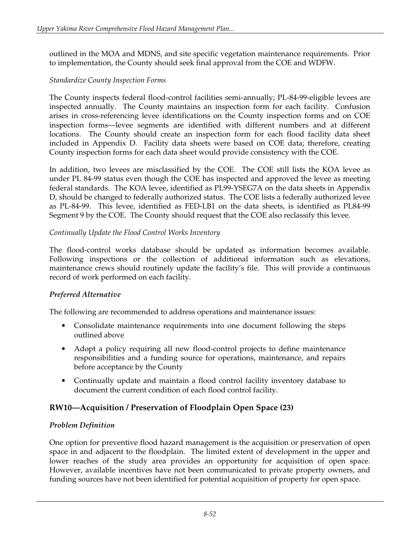outlined in the MOA and MDNS, and site specific vegetation maintenance requirements. Prior to implementation, the County should seek final approval from the COE and WDFW.

### *Standardize County Inspection Forms*

The County inspects federal flood-control facilities semi-annually; PL-84-99-eligible levees are inspected annually. The County maintains an inspection form for each facility. Confusion arises in cross-referencing levee identifications on the County inspection forms and on COE inspection forms—levee segments are identified with different numbers and at different locations. The County should create an inspection form for each flood facility data sheet included in Appendix D. Facility data sheets were based on COE data; therefore, creating County inspection forms for each data sheet would provide consistency with the COE.

In addition, two levees are misclassified by the COE. The COE still lists the KOA levee as under PL 84-99 status even though the COE has inspected and approved the levee as meeting federal standards. The KOA levee, identified as PL99-YSEG7A on the data sheets in Appendix D, should be changed to federally authorized status. The COE lists a federally authorized levee as PL-84-99. This levee, identified as FED-LB1 on the data sheets, is identified as PL84-99 Segment 9 by the COE. The County should request that the COE also reclassify this levee.

### *Continually Update the Flood Control Works Inventory*

The flood-control works database should be updated as information becomes available. Following inspections or the collection of additional information such as elevations, maintenance crews should routinely update the facility's file. This will provide a continuous record of work performed on each facility.

## *Preferred Alternative*

The following are recommended to address operations and maintenance issues:

- Consolidate maintenance requirements into one document following the steps outlined above
- Adopt a policy requiring all new flood-control projects to define maintenance responsibilities and a funding source for operations, maintenance, and repairs before acceptance by the County
- Continually update and maintain a flood control facility inventory database to document the current condition of each flood control facility.

## **RW10—Acquisition / Preservation of Floodplain Open Space (23)**

### *Problem Definition*

One option for preventive flood hazard management is the acquisition or preservation of open space in and adjacent to the floodplain. The limited extent of development in the upper and lower reaches of the study area provides an opportunity for acquisition of open space. However, available incentives have not been communicated to private property owners, and funding sources have not been identified for potential acquisition of property for open space.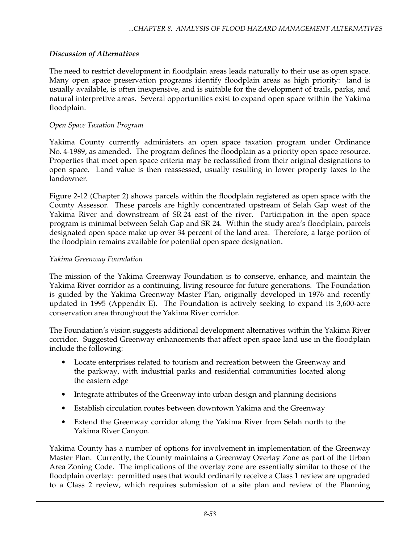# *Discussion of Alternatives*

The need to restrict development in floodplain areas leads naturally to their use as open space. Many open space preservation programs identify floodplain areas as high priority: land is usually available, is often inexpensive, and is suitable for the development of trails, parks, and natural interpretive areas. Several opportunities exist to expand open space within the Yakima floodplain.

### *Open Space Taxation Program*

Yakima County currently administers an open space taxation program under Ordinance No. 4-1989, as amended. The program defines the floodplain as a priority open space resource. Properties that meet open space criteria may be reclassified from their original designations to open space. Land value is then reassessed, usually resulting in lower property taxes to the landowner.

Figure 2-12 (Chapter 2) shows parcels within the floodplain registered as open space with the County Assessor. These parcels are highly concentrated upstream of Selah Gap west of the Yakima River and downstream of SR 24 east of the river. Participation in the open space program is minimal between Selah Gap and SR 24. Within the study area's floodplain, parcels designated open space make up over 34 percent of the land area. Therefore, a large portion of the floodplain remains available for potential open space designation.

### *Yakima Greenway Foundation*

The mission of the Yakima Greenway Foundation is to conserve, enhance, and maintain the Yakima River corridor as a continuing, living resource for future generations. The Foundation is guided by the Yakima Greenway Master Plan, originally developed in 1976 and recently updated in 1995 (Appendix E). The Foundation is actively seeking to expand its 3,600-acre conservation area throughout the Yakima River corridor.

The Foundation's vision suggests additional development alternatives within the Yakima River corridor. Suggested Greenway enhancements that affect open space land use in the floodplain include the following:

- Locate enterprises related to tourism and recreation between the Greenway and the parkway, with industrial parks and residential communities located along the eastern edge
- Integrate attributes of the Greenway into urban design and planning decisions
- Establish circulation routes between downtown Yakima and the Greenway
- Extend the Greenway corridor along the Yakima River from Selah north to the Yakima River Canyon.

Yakima County has a number of options for involvement in implementation of the Greenway Master Plan. Currently, the County maintains a Greenway Overlay Zone as part of the Urban Area Zoning Code. The implications of the overlay zone are essentially similar to those of the floodplain overlay: permitted uses that would ordinarily receive a Class 1 review are upgraded to a Class 2 review, which requires submission of a site plan and review of the Planning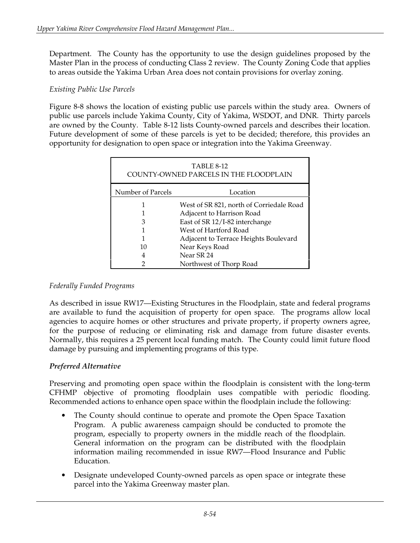Department. The County has the opportunity to use the design guidelines proposed by the Master Plan in the process of conducting Class 2 review. The County Zoning Code that applies to areas outside the Yakima Urban Area does not contain provisions for overlay zoning.

### *Existing Public Use Parcels*

Figure 8-8 shows the location of existing public use parcels within the study area. Owners of public use parcels include Yakima County, City of Yakima, WSDOT, and DNR. Thirty parcels are owned by the County. Table 8-12 lists County-owned parcels and describes their location. Future development of some of these parcels is yet to be decided; therefore, this provides an opportunity for designation to open space or integration into the Yakima Greenway.

| <b>TABLE 8-12</b><br>COUNTY-OWNED PARCELS IN THE FLOODPLAIN |                                          |  |
|-------------------------------------------------------------|------------------------------------------|--|
| Number of Parcels                                           | Location                                 |  |
|                                                             | West of SR 821, north of Corriedale Road |  |
|                                                             | Adjacent to Harrison Road                |  |
| 3                                                           | East of SR 12/I-82 interchange           |  |
|                                                             | West of Hartford Road                    |  |
|                                                             | Adjacent to Terrace Heights Boulevard    |  |
| 10                                                          | Near Keys Road                           |  |
|                                                             | Near SR 24                               |  |
|                                                             | Northwest of Thorp Road                  |  |

### *Federally Funded Programs*

As described in issue RW17—Existing Structures in the Floodplain, state and federal programs are available to fund the acquisition of property for open space. The programs allow local agencies to acquire homes or other structures and private property, if property owners agree, for the purpose of reducing or eliminating risk and damage from future disaster events. Normally, this requires a 25 percent local funding match. The County could limit future flood damage by pursuing and implementing programs of this type.

### *Preferred Alternative*

Preserving and promoting open space within the floodplain is consistent with the long-term CFHMP objective of promoting floodplain uses compatible with periodic flooding. Recommended actions to enhance open space within the floodplain include the following:

- The County should continue to operate and promote the Open Space Taxation Program. A public awareness campaign should be conducted to promote the program, especially to property owners in the middle reach of the floodplain. General information on the program can be distributed with the floodplain information mailing recommended in issue RW7—Flood Insurance and Public Education.
- Designate undeveloped County-owned parcels as open space or integrate these parcel into the Yakima Greenway master plan.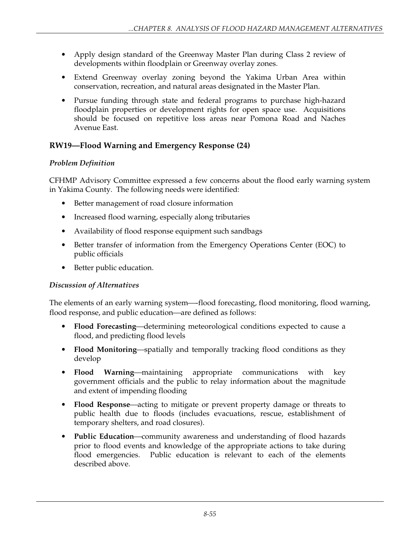- Apply design standard of the Greenway Master Plan during Class 2 review of developments within floodplain or Greenway overlay zones.
- Extend Greenway overlay zoning beyond the Yakima Urban Area within conservation, recreation, and natural areas designated in the Master Plan.
- Pursue funding through state and federal programs to purchase high-hazard floodplain properties or development rights for open space use. Acquisitions should be focused on repetitive loss areas near Pomona Road and Naches Avenue East.

# **RW19—Flood Warning and Emergency Response (24)**

# *Problem Definition*

CFHMP Advisory Committee expressed a few concerns about the flood early warning system in Yakima County. The following needs were identified:

- Better management of road closure information
- Increased flood warning, especially along tributaries
- Availability of flood response equipment such sandbags
- Better transfer of information from the Emergency Operations Center (EOC) to public officials
- Better public education.

# *Discussion of Alternatives*

The elements of an early warning system-flood forecasting, flood monitoring, flood warning, flood response, and public education—are defined as follows:

- **Flood Forecasting—determining meteorological conditions expected to cause a** flood, and predicting flood levels
- **Flood Monitoring—spatially and temporally tracking flood conditions as they** develop
- **Flood Warning—maintaining appropriate communications with key** government officials and the public to relay information about the magnitude and extent of impending flooding
- **Flood Response—acting to mitigate or prevent property damage or threats to** public health due to floods (includes evacuations, rescue, establishment of temporary shelters, and road closures).
- **Public Education**—community awareness and understanding of flood hazards prior to flood events and knowledge of the appropriate actions to take during flood emergencies. Public education is relevant to each of the elements described above.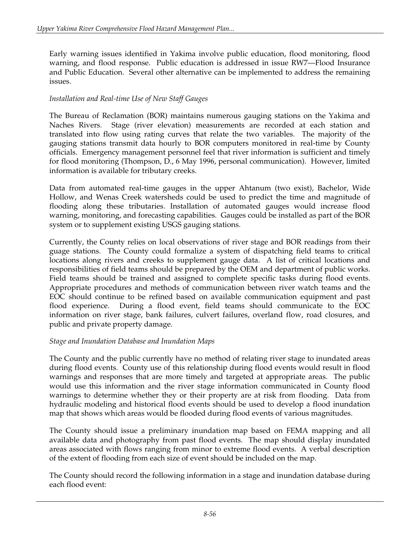Early warning issues identified in Yakima involve public education, flood monitoring, flood warning, and flood response. Public education is addressed in issue RW7—Flood Insurance and Public Education. Several other alternative can be implemented to address the remaining issues.

### *Installation and Real-time Use of New Staff Gauges*

The Bureau of Reclamation (BOR) maintains numerous gauging stations on the Yakima and Naches Rivers. Stage (river elevation) measurements are recorded at each station and translated into flow using rating curves that relate the two variables. The majority of the gauging stations transmit data hourly to BOR computers monitored in real-time by County officials. Emergency management personnel feel that river information is sufficient and timely for flood monitoring (Thompson, D., 6 May 1996, personal communication). However, limited information is available for tributary creeks.

Data from automated real-time gauges in the upper Ahtanum (two exist), Bachelor, Wide Hollow, and Wenas Creek watersheds could be used to predict the time and magnitude of flooding along these tributaries. Installation of automated gauges would increase flood warning, monitoring, and forecasting capabilities. Gauges could be installed as part of the BOR system or to supplement existing USGS gauging stations.

Currently, the County relies on local observations of river stage and BOR readings from their guage stations. The County could formalize a system of dispatching field teams to critical locations along rivers and creeks to supplement gauge data. A list of critical locations and responsibilities of field teams should be prepared by the OEM and department of public works. Field teams should be trained and assigned to complete specific tasks during flood events. Appropriate procedures and methods of communication between river watch teams and the EOC should continue to be refined based on available communication equipment and past flood experience. During a flood event, field teams should communicate to the EOC information on river stage, bank failures, culvert failures, overland flow, road closures, and public and private property damage.

### *Stage and Inundation Database and Inundation Maps*

The County and the public currently have no method of relating river stage to inundated areas during flood events. County use of this relationship during flood events would result in flood warnings and responses that are more timely and targeted at appropriate areas. The public would use this information and the river stage information communicated in County flood warnings to determine whether they or their property are at risk from flooding. Data from hydraulic modeling and historical flood events should be used to develop a flood inundation map that shows which areas would be flooded during flood events of various magnitudes.

The County should issue a preliminary inundation map based on FEMA mapping and all available data and photography from past flood events. The map should display inundated areas associated with flows ranging from minor to extreme flood events. A verbal description of the extent of flooding from each size of event should be included on the map.

The County should record the following information in a stage and inundation database during each flood event: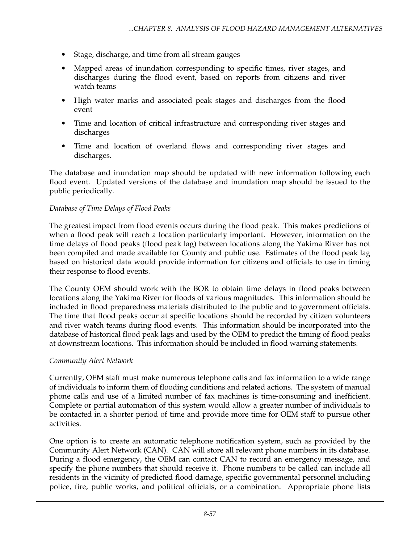- Stage, discharge, and time from all stream gauges
- Mapped areas of inundation corresponding to specific times, river stages, and discharges during the flood event, based on reports from citizens and river watch teams
- High water marks and associated peak stages and discharges from the flood event
- Time and location of critical infrastructure and corresponding river stages and discharges
- Time and location of overland flows and corresponding river stages and discharges.

The database and inundation map should be updated with new information following each flood event. Updated versions of the database and inundation map should be issued to the public periodically.

### *Database of Time Delays of Flood Peaks*

The greatest impact from flood events occurs during the flood peak. This makes predictions of when a flood peak will reach a location particularly important. However, information on the time delays of flood peaks (flood peak lag) between locations along the Yakima River has not been compiled and made available for County and public use. Estimates of the flood peak lag based on historical data would provide information for citizens and officials to use in timing their response to flood events.

The County OEM should work with the BOR to obtain time delays in flood peaks between locations along the Yakima River for floods of various magnitudes. This information should be included in flood preparedness materials distributed to the public and to government officials. The time that flood peaks occur at specific locations should be recorded by citizen volunteers and river watch teams during flood events. This information should be incorporated into the database of historical flood peak lags and used by the OEM to predict the timing of flood peaks at downstream locations. This information should be included in flood warning statements.

### *Community Alert Network*

Currently, OEM staff must make numerous telephone calls and fax information to a wide range of individuals to inform them of flooding conditions and related actions. The system of manual phone calls and use of a limited number of fax machines is time-consuming and inefficient. Complete or partial automation of this system would allow a greater number of individuals to be contacted in a shorter period of time and provide more time for OEM staff to pursue other activities.

One option is to create an automatic telephone notification system, such as provided by the Community Alert Network (CAN). CAN will store all relevant phone numbers in its database. During a flood emergency, the OEM can contact CAN to record an emergency message, and specify the phone numbers that should receive it. Phone numbers to be called can include all residents in the vicinity of predicted flood damage, specific governmental personnel including police, fire, public works, and political officials, or a combination. Appropriate phone lists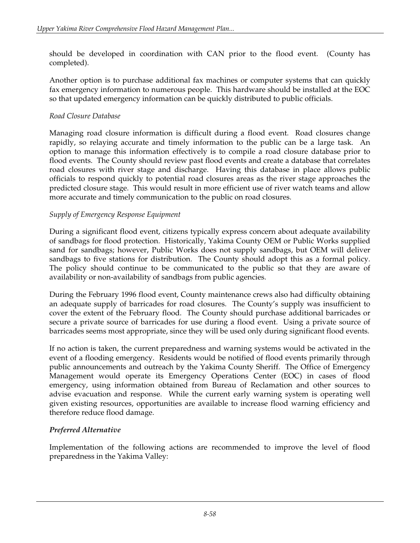should be developed in coordination with CAN prior to the flood event. (County has completed).

Another option is to purchase additional fax machines or computer systems that can quickly fax emergency information to numerous people. This hardware should be installed at the EOC so that updated emergency information can be quickly distributed to public officials.

### *Road Closure Database*

Managing road closure information is difficult during a flood event. Road closures change rapidly, so relaying accurate and timely information to the public can be a large task. An option to manage this information effectively is to compile a road closure database prior to flood events. The County should review past flood events and create a database that correlates road closures with river stage and discharge. Having this database in place allows public officials to respond quickly to potential road closures areas as the river stage approaches the predicted closure stage. This would result in more efficient use of river watch teams and allow more accurate and timely communication to the public on road closures.

## *Supply of Emergency Response Equipment*

During a significant flood event, citizens typically express concern about adequate availability of sandbags for flood protection. Historically, Yakima County OEM or Public Works supplied sand for sandbags; however, Public Works does not supply sandbags, but OEM will deliver sandbags to five stations for distribution. The County should adopt this as a formal policy. The policy should continue to be communicated to the public so that they are aware of availability or non-availability of sandbags from public agencies.

During the February 1996 flood event, County maintenance crews also had difficulty obtaining an adequate supply of barricades for road closures. The County's supply was insufficient to cover the extent of the February flood. The County should purchase additional barricades or secure a private source of barricades for use during a flood event. Using a private source of barricades seems most appropriate, since they will be used only during significant flood events.

If no action is taken, the current preparedness and warning systems would be activated in the event of a flooding emergency. Residents would be notified of flood events primarily through public announcements and outreach by the Yakima County Sheriff. The Office of Emergency Management would operate its Emergency Operations Center (EOC) in cases of flood emergency, using information obtained from Bureau of Reclamation and other sources to advise evacuation and response. While the current early warning system is operating well given existing resources, opportunities are available to increase flood warning efficiency and therefore reduce flood damage.

## *Preferred Alternative*

Implementation of the following actions are recommended to improve the level of flood preparedness in the Yakima Valley: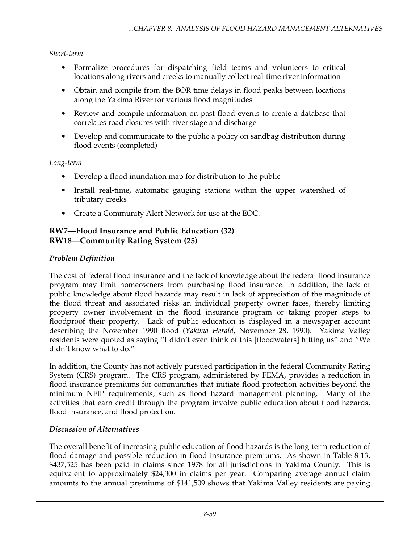## *Short-term*

- Formalize procedures for dispatching field teams and volunteers to critical locations along rivers and creeks to manually collect real-time river information
- Obtain and compile from the BOR time delays in flood peaks between locations along the Yakima River for various flood magnitudes
- Review and compile information on past flood events to create a database that correlates road closures with river stage and discharge
- Develop and communicate to the public a policy on sandbag distribution during flood events (completed)

### *Long-term*

- Develop a flood inundation map for distribution to the public
- Install real-time, automatic gauging stations within the upper watershed of tributary creeks
- Create a Community Alert Network for use at the EOC.

# **RW7—Flood Insurance and Public Education (32) RW18—Community Rating System (25)**

## *Problem Definition*

The cost of federal flood insurance and the lack of knowledge about the federal flood insurance program may limit homeowners from purchasing flood insurance. In addition, the lack of public knowledge about flood hazards may result in lack of appreciation of the magnitude of the flood threat and associated risks an individual property owner faces, thereby limiting property owner involvement in the flood insurance program or taking proper steps to floodproof their property. Lack of public education is displayed in a newspaper account describing the November 1990 flood (*Yakima Herald*, November 28, 1990). Yakima Valley residents were quoted as saying "I didn't even think of this [floodwaters] hitting us" and "We didn't know what to do."

In addition, the County has not actively pursued participation in the federal Community Rating System (CRS) program. The CRS program, administered by FEMA, provides a reduction in flood insurance premiums for communities that initiate flood protection activities beyond the minimum NFIP requirements, such as flood hazard management planning. Many of the activities that earn credit through the program involve public education about flood hazards, flood insurance, and flood protection.

## *Discussion of Alternatives*

The overall benefit of increasing public education of flood hazards is the long-term reduction of flood damage and possible reduction in flood insurance premiums. As shown in Table 8-13, \$437,525 has been paid in claims since 1978 for all jurisdictions in Yakima County. This is equivalent to approximately \$24,300 in claims per year. Comparing average annual claim amounts to the annual premiums of \$141,509 shows that Yakima Valley residents are paying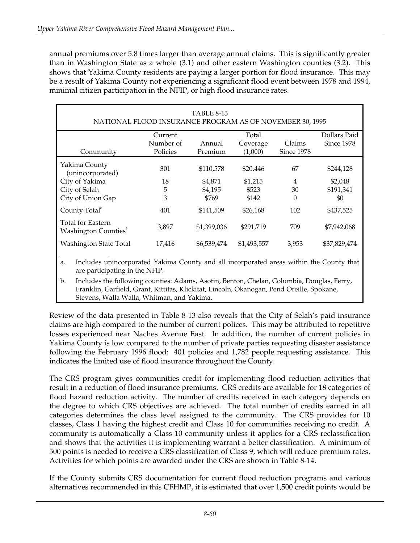annual premiums over 5.8 times larger than average annual claims. This is significantly greater than in Washington State as a whole (3.1) and other eastern Washington counties (3.2). This shows that Yakima County residents are paying a larger portion for flood insurance. This may be a result of Yakima County not experiencing a significant flood event between 1978 and 1994, minimal citizen participation in the NFIP, or high flood insurance rates.

| <b>TABLE 8-13</b><br>NATIONAL FLOOD INSURANCE PROGRAM AS OF NOVEMBER 30, 1995 |           |             |             |            |              |
|-------------------------------------------------------------------------------|-----------|-------------|-------------|------------|--------------|
|                                                                               | Current   |             | Total       |            | Dollars Paid |
|                                                                               | Number of | Annual      | Coverage    | Claims     | Since 1978   |
| Community                                                                     | Policies  | Premium     | (1,000)     | Since 1978 |              |
| Yakima County<br>(unincorporated)                                             | 301       | \$110,578   | \$20,446    | 67         | \$244,128    |
| City of Yakima                                                                | 18        | \$4,871     | \$1,215     | 4          | \$2,048      |
| City of Selah                                                                 | 5         | \$4,195     | \$523       | 30         | \$191,341    |
| City of Union Gap                                                             | 3         | \$769       | \$142       | 0          | \$0          |
| County Total <sup>®</sup>                                                     | 401       | \$141,509   | \$26,168    | 102        | \$437,525    |
| Total for Eastern<br>Washington Counties <sup>"</sup>                         | 3,897     | \$1,399,036 | \$291,719   | 709        | \$7,942,068  |
| Washington State Total                                                        | 17,416    | \$6,539,474 | \$1,493,557 | 3,953      | \$37,829,474 |
|                                                                               |           |             |             |            |              |

a. Includes unincorporated Yakima County and all incorporated areas within the County that are participating in the NFIP.

b. Includes the following counties: Adams, Asotin, Benton, Chelan, Columbia, Douglas, Ferry, Franklin, Garfield, Grant, Kittitas, Klickitat, Lincoln, Okanogan, Pend Oreille, Spokane, Stevens, Walla Walla, Whitman, and Yakima.

Review of the data presented in Table 8-13 also reveals that the City of Selah's paid insurance claims are high compared to the number of current polices. This may be attributed to repetitive losses experienced near Naches Avenue East. In addition, the number of current policies in Yakima County is low compared to the number of private parties requesting disaster assistance following the February 1996 flood: 401 policies and 1,782 people requesting assistance. This indicates the limited use of flood insurance throughout the County.

The CRS program gives communities credit for implementing flood reduction activities that result in a reduction of flood insurance premiums. CRS credits are available for 18 categories of flood hazard reduction activity. The number of credits received in each category depends on the degree to which CRS objectives are achieved. The total number of credits earned in all categories determines the class level assigned to the community. The CRS provides for 10 classes, Class 1 having the highest credit and Class 10 for communities receiving no credit. A community is automatically a Class 10 community unless it applies for a CRS reclassification and shows that the activities it is implementing warrant a better classification. A minimum of 500 points is needed to receive a CRS classification of Class 9, which will reduce premium rates. Activities for which points are awarded under the CRS are shown in Table 8-14.

If the County submits CRS documentation for current flood reduction programs and various alternatives recommended in this CFHMP, it is estimated that over 1,500 credit points would be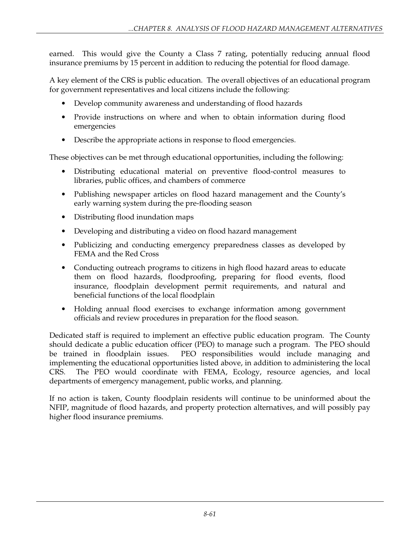earned. This would give the County a Class 7 rating, potentially reducing annual flood insurance premiums by 15 percent in addition to reducing the potential for flood damage.

A key element of the CRS is public education. The overall objectives of an educational program for government representatives and local citizens include the following:

- Develop community awareness and understanding of flood hazards
- Provide instructions on where and when to obtain information during flood emergencies
- Describe the appropriate actions in response to flood emergencies.

These objectives can be met through educational opportunities, including the following:

- Distributing educational material on preventive flood-control measures to libraries, public offices, and chambers of commerce
- Publishing newspaper articles on flood hazard management and the County's early warning system during the pre-flooding season
- Distributing flood inundation maps
- Developing and distributing a video on flood hazard management
- Publicizing and conducting emergency preparedness classes as developed by FEMA and the Red Cross
- Conducting outreach programs to citizens in high flood hazard areas to educate them on flood hazards, floodproofing, preparing for flood events, flood insurance, floodplain development permit requirements, and natural and beneficial functions of the local floodplain
- Holding annual flood exercises to exchange information among government officials and review procedures in preparation for the flood season.

Dedicated staff is required to implement an effective public education program. The County should dedicate a public education officer (PEO) to manage such a program. The PEO should be trained in floodplain issues. PEO responsibilities would include managing and implementing the educational opportunities listed above, in addition to administering the local CRS. The PEO would coordinate with FEMA, Ecology, resource agencies, and local departments of emergency management, public works, and planning.

If no action is taken, County floodplain residents will continue to be uninformed about the NFIP, magnitude of flood hazards, and property protection alternatives, and will possibly pay higher flood insurance premiums.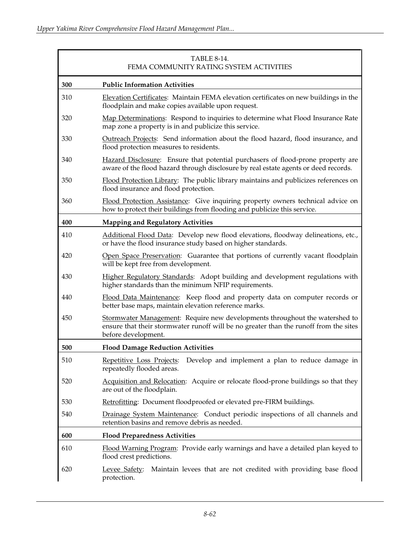| <b>TABLE 8-14.</b><br>FEMA COMMUNITY RATING SYSTEM ACTIVITIES |                                                                                                                                                                                             |  |
|---------------------------------------------------------------|---------------------------------------------------------------------------------------------------------------------------------------------------------------------------------------------|--|
| 300                                                           | <b>Public Information Activities</b>                                                                                                                                                        |  |
| 310                                                           | Elevation Certificates: Maintain FEMA elevation certificates on new buildings in the<br>floodplain and make copies available upon request.                                                  |  |
| 320                                                           | Map Determinations: Respond to inquiries to determine what Flood Insurance Rate<br>map zone a property is in and publicize this service.                                                    |  |
| 330                                                           | Outreach Projects: Send information about the flood hazard, flood insurance, and<br>flood protection measures to residents.                                                                 |  |
| 340                                                           | Hazard Disclosure: Ensure that potential purchasers of flood-prone property are<br>aware of the flood hazard through disclosure by real estate agents or deed records.                      |  |
| 350                                                           | Flood Protection Library: The public library maintains and publicizes references on<br>flood insurance and flood protection.                                                                |  |
| 360                                                           | Flood Protection Assistance: Give inquiring property owners technical advice on<br>how to protect their buildings from flooding and publicize this service.                                 |  |
| 400                                                           | <b>Mapping and Regulatory Activities</b>                                                                                                                                                    |  |
| 410                                                           | Additional Flood Data: Develop new flood elevations, floodway delineations, etc.,<br>or have the flood insurance study based on higher standards.                                           |  |
| 420                                                           | Open Space Preservation: Guarantee that portions of currently vacant floodplain<br>will be kept free from development.                                                                      |  |
| 430                                                           | Higher Regulatory Standards: Adopt building and development regulations with<br>higher standards than the minimum NFIP requirements.                                                        |  |
| 440                                                           | Flood Data Maintenance: Keep flood and property data on computer records or<br>better base maps, maintain elevation reference marks.                                                        |  |
| 450                                                           | Stormwater Management: Require new developments throughout the watershed to<br>ensure that their stormwater runoff will be no greater than the runoff from the sites<br>before development. |  |
| 500                                                           | <b>Flood Damage Reduction Activities</b>                                                                                                                                                    |  |
| 510                                                           | <u>Repetitive Loss Projects:</u><br>Develop and implement a plan to reduce damage in<br>repeatedly flooded areas.                                                                           |  |
| 520                                                           | Acquisition and Relocation: Acquire or relocate flood-prone buildings so that they<br>are out of the floodplain.                                                                            |  |
| 530                                                           | Retrofitting: Document floodproofed or elevated pre-FIRM buildings.                                                                                                                         |  |
| 540                                                           | Drainage System Maintenance: Conduct periodic inspections of all channels and<br>retention basins and remove debris as needed.                                                              |  |
| 600                                                           | <b>Flood Preparedness Activities</b>                                                                                                                                                        |  |
| 610                                                           | Flood Warning Program: Provide early warnings and have a detailed plan keyed to<br>flood crest predictions.                                                                                 |  |
| 620                                                           | Maintain levees that are not credited with providing base flood<br>Levee Safety:<br>protection.                                                                                             |  |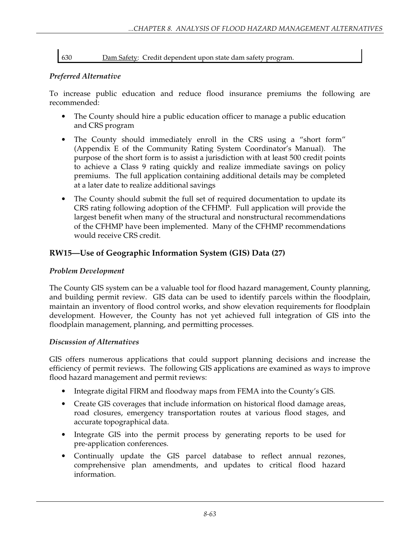630 Dam Safety: Credit dependent upon state dam safety program.

### *Preferred Alternative*

To increase public education and reduce flood insurance premiums the following are recommended:

- The County should hire a public education officer to manage a public education and CRS program
- The County should immediately enroll in the CRS using a "short form" (Appendix E of the Community Rating System Coordinator's Manual). The purpose of the short form is to assist a jurisdiction with at least 500 credit points to achieve a Class 9 rating quickly and realize immediate savings on policy premiums. The full application containing additional details may be completed at a later date to realize additional savings
- The County should submit the full set of required documentation to update its CRS rating following adoption of the CFHMP. Full application will provide the largest benefit when many of the structural and nonstructural recommendations of the CFHMP have been implemented. Many of the CFHMP recommendations would receive CRS credit.

# **RW15—Use of Geographic Information System (GIS) Data (27)**

### *Problem Development*

The County GIS system can be a valuable tool for flood hazard management, County planning, and building permit review. GIS data can be used to identify parcels within the floodplain, maintain an inventory of flood control works, and show elevation requirements for floodplain development. However, the County has not yet achieved full integration of GIS into the floodplain management, planning, and permitting processes.

### *Discussion of Alternatives*

GIS offers numerous applications that could support planning decisions and increase the efficiency of permit reviews. The following GIS applications are examined as ways to improve flood hazard management and permit reviews:

- Integrate digital FIRM and floodway maps from FEMA into the County's GIS.
- Create GIS coverages that include information on historical flood damage areas, road closures, emergency transportation routes at various flood stages, and accurate topographical data.
- Integrate GIS into the permit process by generating reports to be used for pre-application conferences.
- Continually update the GIS parcel database to reflect annual rezones, comprehensive plan amendments, and updates to critical flood hazard information.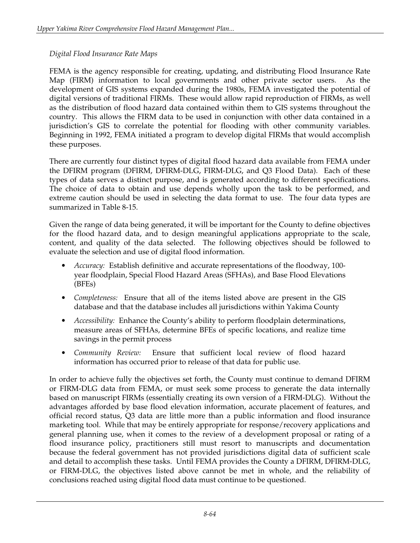### *Digital Flood Insurance Rate Maps*

FEMA is the agency responsible for creating, updating, and distributing Flood Insurance Rate Map (FIRM) information to local governments and other private sector users. As the development of GIS systems expanded during the 1980s, FEMA investigated the potential of digital versions of traditional FIRMs. These would allow rapid reproduction of FIRMs, as well as the distribution of flood hazard data contained within them to GIS systems throughout the country. This allows the FIRM data to be used in conjunction with other data contained in a jurisdiction's GIS to correlate the potential for flooding with other community variables. Beginning in 1992, FEMA initiated a program to develop digital FIRMs that would accomplish these purposes.

There are currently four distinct types of digital flood hazard data available from FEMA under the DFIRM program (DFIRM, DFIRM-DLG, FIRM-DLG, and Q3 Flood Data). Each of these types of data serves a distinct purpose, and is generated according to different specifications. The choice of data to obtain and use depends wholly upon the task to be performed, and extreme caution should be used in selecting the data format to use. The four data types are summarized in Table 8-15.

Given the range of data being generated, it will be important for the County to define objectives for the flood hazard data, and to design meaningful applications appropriate to the scale, content, and quality of the data selected. The following objectives should be followed to evaluate the selection and use of digital flood information.

- *Accuracy:* Establish definitive and accurate representations of the floodway, 100 year floodplain, Special Flood Hazard Areas (SFHAs), and Base Flood Elevations (BFEs)
- *Completeness:* Ensure that all of the items listed above are present in the GIS database and that the database includes all jurisdictions within Yakima County
- *Accessibility:* Enhance the County's ability to perform floodplain determinations, measure areas of SFHAs, determine BFEs of specific locations, and realize time savings in the permit process
- *Community Review:* Ensure that sufficient local review of flood hazard information has occurred prior to release of that data for public use.

In order to achieve fully the objectives set forth, the County must continue to demand DFIRM or FIRM-DLG data from FEMA, or must seek some process to generate the data internally based on manuscript FIRMs (essentially creating its own version of a FIRM-DLG). Without the advantages afforded by base flood elevation information, accurate placement of features, and official record status, Q3 data are little more than a public information and flood insurance marketing tool. While that may be entirely appropriate for response/recovery applications and general planning use, when it comes to the review of a development proposal or rating of a flood insurance policy, practitioners still must resort to manuscripts and documentation because the federal government has not provided jurisdictions digital data of sufficient scale and detail to accomplish these tasks. Until FEMA provides the County a DFIRM, DFIRM-DLG, or FIRM-DLG, the objectives listed above cannot be met in whole, and the reliability of conclusions reached using digital flood data must continue to be questioned.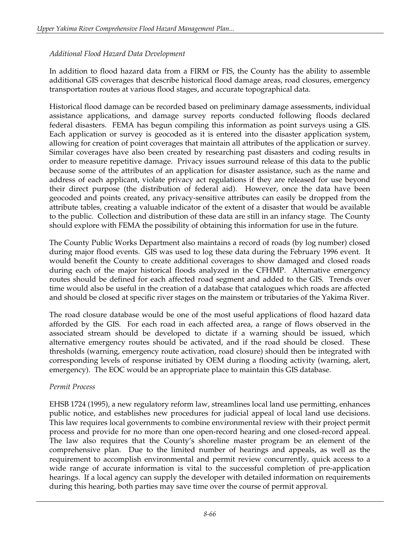## *Additional Flood Hazard Data Development*

In addition to flood hazard data from a FIRM or FIS, the County has the ability to assemble additional GIS coverages that describe historical flood damage areas, road closures, emergency transportation routes at various flood stages, and accurate topographical data.

Historical flood damage can be recorded based on preliminary damage assessments, individual assistance applications, and damage survey reports conducted following floods declared federal disasters. FEMA has begun compiling this information as point surveys using a GIS. Each application or survey is geocoded as it is entered into the disaster application system, allowing for creation of point coverages that maintain all attributes of the application or survey. Similar coverages have also been created by researching past disasters and coding results in order to measure repetitive damage. Privacy issues surround release of this data to the public because some of the attributes of an application for disaster assistance, such as the name and address of each applicant, violate privacy act regulations if they are released for use beyond their direct purpose (the distribution of federal aid). However, once the data have been geocoded and points created, any privacy-sensitive attributes can easily be dropped from the attribute tables, creating a valuable indicator of the extent of a disaster that would be available to the public. Collection and distribution of these data are still in an infancy stage. The County should explore with FEMA the possibility of obtaining this information for use in the future.

The County Public Works Department also maintains a record of roads (by log number) closed during major flood events. GIS was used to log these data during the February 1996 event. It would benefit the County to create additional coverages to show damaged and closed roads during each of the major historical floods analyzed in the CFHMP. Alternative emergency routes should be defined for each affected road segment and added to the GIS. Trends over time would also be useful in the creation of a database that catalogues which roads are affected and should be closed at specific river stages on the mainstem or tributaries of the Yakima River.

The road closure database would be one of the most useful applications of flood hazard data afforded by the GIS. For each road in each affected area, a range of flows observed in the associated stream should be developed to dictate if a warning should be issued, which alternative emergency routes should be activated, and if the road should be closed. These thresholds (warning, emergency route activation, road closure) should then be integrated with corresponding levels of response initiated by OEM during a flooding activity (warning, alert, emergency). The EOC would be an appropriate place to maintain this GIS database.

### *Permit Process*

EHSB 1724 (1995), a new regulatory reform law, streamlines local land use permitting, enhances public notice, and establishes new procedures for judicial appeal of local land use decisions. This law requires local governments to combine environmental review with their project permit process and provide for no more than one open-record hearing and one closed-record appeal. The law also requires that the County's shoreline master program be an element of the comprehensive plan. Due to the limited number of hearings and appeals, as well as the requirement to accomplish environmental and permit review concurrently, quick access to a wide range of accurate information is vital to the successful completion of pre-application hearings. If a local agency can supply the developer with detailed information on requirements during this hearing, both parties may save time over the course of permit approval.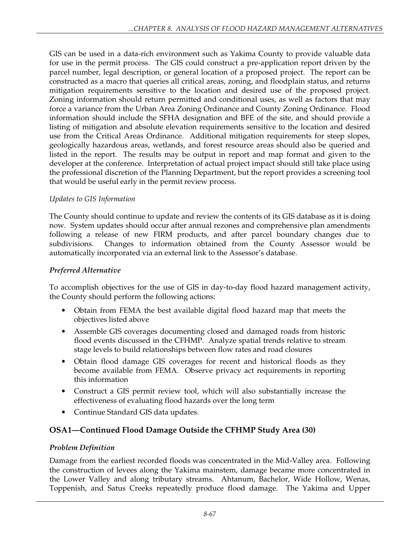GIS can be used in a data-rich environment such as Yakima County to provide valuable data for use in the permit process. The GIS could construct a pre-application report driven by the parcel number, legal description, or general location of a proposed project. The report can be constructed as a macro that queries all critical areas, zoning, and floodplain status, and returns mitigation requirements sensitive to the location and desired use of the proposed project. Zoning information should return permitted and conditional uses, as well as factors that may force a variance from the Urban Area Zoning Ordinance and County Zoning Ordinance. Flood information should include the SFHA designation and BFE of the site, and should provide a listing of mitigation and absolute elevation requirements sensitive to the location and desired use from the Critical Areas Ordinance. Additional mitigation requirements for steep slopes, geologically hazardous areas, wetlands, and forest resource areas should also be queried and listed in the report. The results may be output in report and map format and given to the developer at the conference. Interpretation of actual project impact should still take place using the professional discretion of the Planning Department, but the report provides a screening tool that would be useful early in the permit review process.

## *Updates to GIS Information*

The County should continue to update and review the contents of its GIS database as it is doing now. System updates should occur after annual rezones and comprehensive plan amendments following a release of new FIRM products, and after parcel boundary changes due to subdivisions. Changes to information obtained from the County Assessor would be automatically incorporated via an external link to the Assessor's database.

### *Preferred Alternative*

To accomplish objectives for the use of GIS in day-to-day flood hazard management activity, the County should perform the following actions:

- Obtain from FEMA the best available digital flood hazard map that meets the objectives listed above
- Assemble GIS coverages documenting closed and damaged roads from historic flood events discussed in the CFHMP. Analyze spatial trends relative to stream stage levels to build relationships between flow rates and road closures
- Obtain flood damage GIS coverages for recent and historical floods as they become available from FEMA. Observe privacy act requirements in reporting this information
- Construct a GIS permit review tool, which will also substantially increase the effectiveness of evaluating flood hazards over the long term
- Continue Standard GIS data updates.

# **OSA1—Continued Flood Damage Outside the CFHMP Study Area (30)**

### *Problem Definition*

Damage from the earliest recorded floods was concentrated in the Mid-Valley area. Following the construction of levees along the Yakima mainstem, damage became more concentrated in the Lower Valley and along tributary streams. Ahtanum, Bachelor, Wide Hollow, Wenas, Toppenish, and Satus Creeks repeatedly produce flood damage. The Yakima and Upper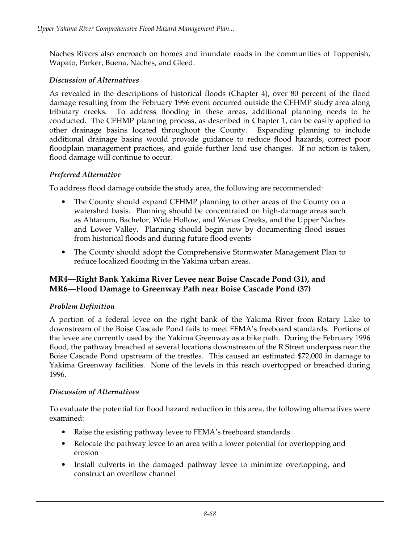Naches Rivers also encroach on homes and inundate roads in the communities of Toppenish, Wapato, Parker, Buena, Naches, and Gleed.

### *Discussion of Alternatives*

As revealed in the descriptions of historical floods (Chapter 4), over 80 percent of the flood damage resulting from the February 1996 event occurred outside the CFHMP study area along tributary creeks. To address flooding in these areas, additional planning needs to be conducted. The CFHMP planning process, as described in Chapter 1, can be easily applied to other drainage basins located throughout the County. Expanding planning to include additional drainage basins would provide guidance to reduce flood hazards, correct poor floodplain management practices, and guide further land use changes. If no action is taken, flood damage will continue to occur.

### *Preferred Alternative*

To address flood damage outside the study area, the following are recommended:

- The County should expand CFHMP planning to other areas of the County on a watershed basis. Planning should be concentrated on high-damage areas such as Ahtanum, Bachelor, Wide Hollow, and Wenas Creeks, and the Upper Naches and Lower Valley. Planning should begin now by documenting flood issues from historical floods and during future flood events
- The County should adopt the Comprehensive Stormwater Management Plan to reduce localized flooding in the Yakima urban areas.

## **MR4—Right Bank Yakima River Levee near Boise Cascade Pond (31), and MR6—Flood Damage to Greenway Path near Boise Cascade Pond (37)**

### *Problem Definition*

A portion of a federal levee on the right bank of the Yakima River from Rotary Lake to downstream of the Boise Cascade Pond fails to meet FEMA's freeboard standards. Portions of the levee are currently used by the Yakima Greenway as a bike path. During the February 1996 flood, the pathway breached at several locations downstream of the R Street underpass near the Boise Cascade Pond upstream of the trestles. This caused an estimated \$72,000 in damage to Yakima Greenway facilities. None of the levels in this reach overtopped or breached during 1996.

## *Discussion of Alternatives*

To evaluate the potential for flood hazard reduction in this area, the following alternatives were examined:

- Raise the existing pathway levee to FEMA's freeboard standards
- Relocate the pathway levee to an area with a lower potential for overtopping and erosion
- Install culverts in the damaged pathway levee to minimize overtopping, and construct an overflow channel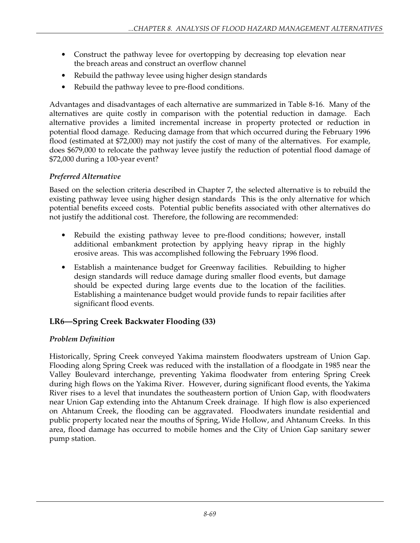- Construct the pathway levee for overtopping by decreasing top elevation near the breach areas and construct an overflow channel
- Rebuild the pathway levee using higher design standards
- Rebuild the pathway levee to pre-flood conditions.

Advantages and disadvantages of each alternative are summarized in Table 8-16. Many of the alternatives are quite costly in comparison with the potential reduction in damage. Each alternative provides a limited incremental increase in property protected or reduction in potential flood damage. Reducing damage from that which occurred during the February 1996 flood (estimated at \$72,000) may not justify the cost of many of the alternatives. For example, does \$679,000 to relocate the pathway levee justify the reduction of potential flood damage of \$72,000 during a 100-year event?

# *Preferred Alternative*

Based on the selection criteria described in Chapter 7, the selected alternative is to rebuild the existing pathway levee using higher design standards This is the only alternative for which potential benefits exceed costs. Potential public benefits associated with other alternatives do not justify the additional cost. Therefore, the following are recommended:

- Rebuild the existing pathway levee to pre-flood conditions; however, install additional embankment protection by applying heavy riprap in the highly erosive areas. This was accomplished following the February 1996 flood.
- Establish a maintenance budget for Greenway facilities. Rebuilding to higher design standards will reduce damage during smaller flood events, but damage should be expected during large events due to the location of the facilities. Establishing a maintenance budget would provide funds to repair facilities after significant flood events.

# **LR6—Spring Creek Backwater Flooding (33)**

# *Problem Definition*

Historically, Spring Creek conveyed Yakima mainstem floodwaters upstream of Union Gap. Flooding along Spring Creek was reduced with the installation of a floodgate in 1985 near the Valley Boulevard interchange, preventing Yakima floodwater from entering Spring Creek during high flows on the Yakima River. However, during significant flood events, the Yakima River rises to a level that inundates the southeastern portion of Union Gap, with floodwaters near Union Gap extending into the Ahtanum Creek drainage. If high flow is also experienced on Ahtanum Creek, the flooding can be aggravated. Floodwaters inundate residential and public property located near the mouths of Spring, Wide Hollow, and Ahtanum Creeks. In this area, flood damage has occurred to mobile homes and the City of Union Gap sanitary sewer pump station.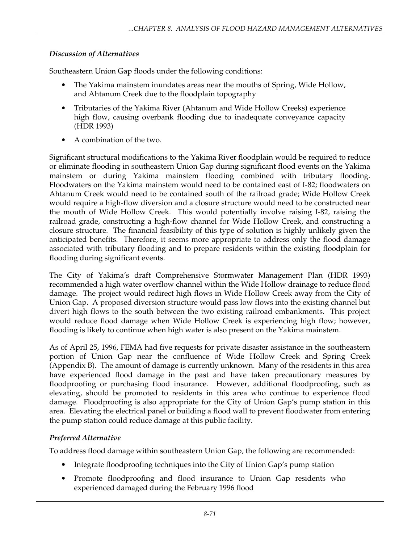## *Discussion of Alternatives*

Southeastern Union Gap floods under the following conditions:

- The Yakima mainstem inundates areas near the mouths of Spring, Wide Hollow, and Ahtanum Creek due to the floodplain topography
- Tributaries of the Yakima River (Ahtanum and Wide Hollow Creeks) experience high flow, causing overbank flooding due to inadequate conveyance capacity (HDR 1993)
- A combination of the two.

Significant structural modifications to the Yakima River floodplain would be required to reduce or eliminate flooding in southeastern Union Gap during significant flood events on the Yakima mainstem or during Yakima mainstem flooding combined with tributary flooding. Floodwaters on the Yakima mainstem would need to be contained east of I-82; floodwaters on Ahtanum Creek would need to be contained south of the railroad grade; Wide Hollow Creek would require a high-flow diversion and a closure structure would need to be constructed near the mouth of Wide Hollow Creek. This would potentially involve raising I-82, raising the railroad grade, constructing a high-flow channel for Wide Hollow Creek, and constructing a closure structure. The financial feasibility of this type of solution is highly unlikely given the anticipated benefits. Therefore, it seems more appropriate to address only the flood damage associated with tributary flooding and to prepare residents within the existing floodplain for flooding during significant events.

The City of Yakima's draft Comprehensive Stormwater Management Plan (HDR 1993) recommended a high water overflow channel within the Wide Hollow drainage to reduce flood damage. The project would redirect high flows in Wide Hollow Creek away from the City of Union Gap. A proposed diversion structure would pass low flows into the existing channel but divert high flows to the south between the two existing railroad embankments. This project would reduce flood damage when Wide Hollow Creek is experiencing high flow; however, flooding is likely to continue when high water is also present on the Yakima mainstem.

As of April 25, 1996, FEMA had five requests for private disaster assistance in the southeastern portion of Union Gap near the confluence of Wide Hollow Creek and Spring Creek (Appendix B). The amount of damage is currently unknown. Many of the residents in this area have experienced flood damage in the past and have taken precautionary measures by floodproofing or purchasing flood insurance. However, additional floodproofing, such as elevating, should be promoted to residents in this area who continue to experience flood damage. Floodproofing is also appropriate for the City of Union Gap's pump station in this area. Elevating the electrical panel or building a flood wall to prevent floodwater from entering the pump station could reduce damage at this public facility.

## *Preferred Alternative*

To address flood damage within southeastern Union Gap, the following are recommended:

- Integrate floodproofing techniques into the City of Union Gap's pump station
- Promote floodproofing and flood insurance to Union Gap residents who experienced damaged during the February 1996 flood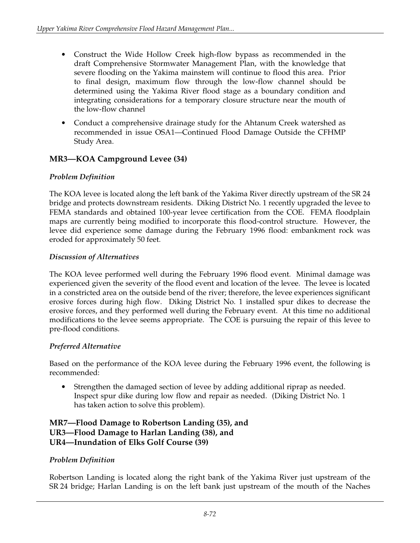- Construct the Wide Hollow Creek high-flow bypass as recommended in the draft Comprehensive Stormwater Management Plan, with the knowledge that severe flooding on the Yakima mainstem will continue to flood this area. Prior to final design, maximum flow through the low-flow channel should be determined using the Yakima River flood stage as a boundary condition and integrating considerations for a temporary closure structure near the mouth of the low-flow channel
- Conduct a comprehensive drainage study for the Ahtanum Creek watershed as recommended in issue OSA1—Continued Flood Damage Outside the CFHMP Study Area.

# **MR3—KOA Campground Levee (34)**

# *Problem Definition*

The KOA levee is located along the left bank of the Yakima River directly upstream of the SR 24 bridge and protects downstream residents. Diking District No. 1 recently upgraded the levee to FEMA standards and obtained 100-year levee certification from the COE. FEMA floodplain maps are currently being modified to incorporate this flood-control structure. However, the levee did experience some damage during the February 1996 flood: embankment rock was eroded for approximately 50 feet.

## *Discussion of Alternatives*

The KOA levee performed well during the February 1996 flood event. Minimal damage was experienced given the severity of the flood event and location of the levee. The levee is located in a constricted area on the outside bend of the river; therefore, the levee experiences significant erosive forces during high flow. Diking District No. 1 installed spur dikes to decrease the erosive forces, and they performed well during the February event. At this time no additional modifications to the levee seems appropriate. The COE is pursuing the repair of this levee to pre-flood conditions.

## *Preferred Alternative*

Based on the performance of the KOA levee during the February 1996 event, the following is recommended:

• Strengthen the damaged section of levee by adding additional riprap as needed. Inspect spur dike during low flow and repair as needed. (Diking District No. 1 has taken action to solve this problem).

### **MR7—Flood Damage to Robertson Landing (35), and UR3—Flood Damage to Harlan Landing (38), and UR4—Inundation of Elks Golf Course (39)**

## *Problem Definition*

Robertson Landing is located along the right bank of the Yakima River just upstream of the SR 24 bridge; Harlan Landing is on the left bank just upstream of the mouth of the Naches